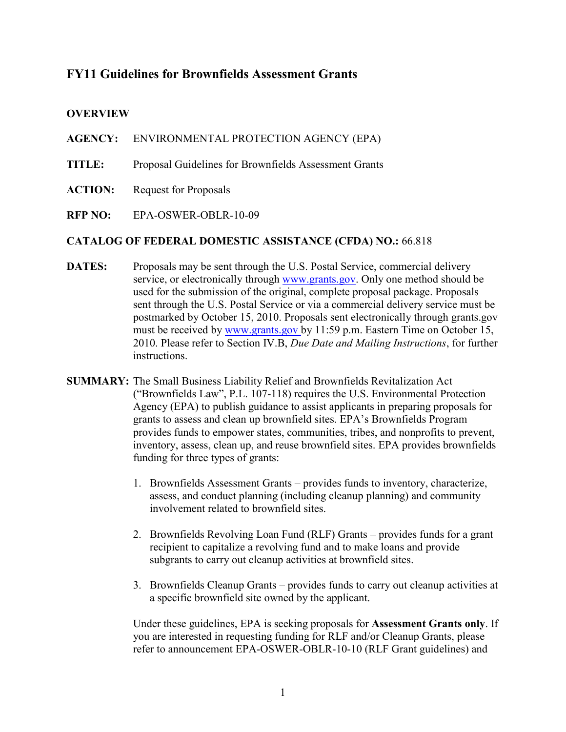## **FY11 Guidelines for Brownfields Assessment Grants**

#### **OVERVIEW**

**AGENCY:** ENVIRONMENTAL PROTECTION AGENCY (EPA)

- TITLE: Proposal Guidelines for Brownfields Assessment Grants
- **ACTION: Request for Proposals**
- $RFP NO:$ **RFP NO:** EPA-OSWER-OBLR-10-09

#### **CATALOG OF FEDERAL DOMESTIC ASSISTANCE (CFDA) NO.:** 66.818

- DATES: service, or electronically through [www.grants.gov.](http://www.grants.gov/) Only one method should be sent through the U.S. Postal Service or via a commercial delivery service must be postmarked by October 15, 2010. Proposals sent electronically through grants.gov Proposals may be sent through the U.S. Postal Service, commercial delivery used for the submission of the original, complete proposal package. Proposals must be received by [www.grants.gov](http://www.grants.gov/) by 11:59 p.m. Eastern Time on October 15, 2010. Please refer to Section IV.B, *Due Date and Mailing Instructions*, for further instructions.
- inventory, assess, clean up, and reuse brownfield sites. EPA provides brownfields **SUMMARY:** The Small Business Liability Relief and Brownfields Revitalization Act ("Brownfields Law", P.L. 107-118) requires the U.S. Environmental Protection Agency (EPA) to publish guidance to assist applicants in preparing proposals for grants to assess and clean up brownfield sites. EPA's Brownfields Program provides funds to empower states, communities, tribes, and nonprofits to prevent, funding for three types of grants:
	- 1. Brownfields Assessment Grants provides funds to inventory, characterize, assess, and conduct planning (including cleanup planning) and community involvement related to brownfield sites.
	- 2. Brownfields Revolving Loan Fund (RLF) Grants provides funds for a grant recipient to capitalize a revolving fund and to make loans and provide subgrants to carry out cleanup activities at brownfield sites.
	- 3. Brownfields Cleanup Grants provides funds to carry out cleanup activities at a specific brownfield site owned by the applicant.

 Under these guidelines, EPA is seeking proposals for **Assessment Grants only**. If you are interested in requesting funding for RLF and/or Cleanup Grants, please refer to announcement EPA-OSWER-OBLR-10-10 (RLF Grant guidelines) and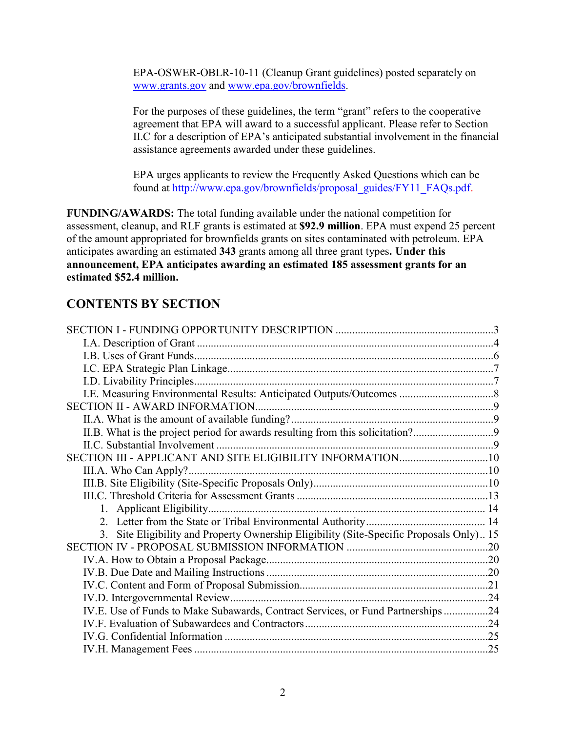EPA-OSWER-OBLR-10-11 (Cleanup Grant guidelines) posted separately on [www.grants.gov](http://www.grants.gov/) and [www.epa.gov/brownfields.](http://www.epa.gov/brownfields)

 assistance agreements awarded under these guidelines. For the purposes of these guidelines, the term "grant" refers to the cooperative agreement that EPA will award to a successful applicant. Please refer to Section II.C for a description of EPA's anticipated substantial involvement in the financial

EPA urges applicants to review the Frequently Asked Questions which can be found at [http://www.epa.gov/brownfields/proposal\\_guides/FY11\\_FAQs.pdf.](http://www.epa.gov/brownfields/proposal_guides/FY11_FAQs.pdf)

 **announcement, EPA anticipates awarding an estimated 185 assessment grants for an FUNDING/AWARDS:** The total funding available under the national competition for assessment, cleanup, and RLF grants is estimated at **\$92.9 million**. EPA must expend 25 percent of the amount appropriated for brownfields grants on sites contaminated with petroleum. EPA anticipates awarding an estimated **343** grants among all three grant types**. Under this estimated \$52.4 million.** 

# **CONTENTS BY SECTION**

| II.B. What is the project period for awards resulting from this solicitation?            |  |
|------------------------------------------------------------------------------------------|--|
|                                                                                          |  |
|                                                                                          |  |
|                                                                                          |  |
|                                                                                          |  |
|                                                                                          |  |
|                                                                                          |  |
|                                                                                          |  |
| 3. Site Eligibility and Property Ownership Eligibility (Site-Specific Proposals Only) 15 |  |
|                                                                                          |  |
|                                                                                          |  |
|                                                                                          |  |
|                                                                                          |  |
|                                                                                          |  |
| IV.E. Use of Funds to Make Subawards, Contract Services, or Fund Partnerships24          |  |
|                                                                                          |  |
|                                                                                          |  |
|                                                                                          |  |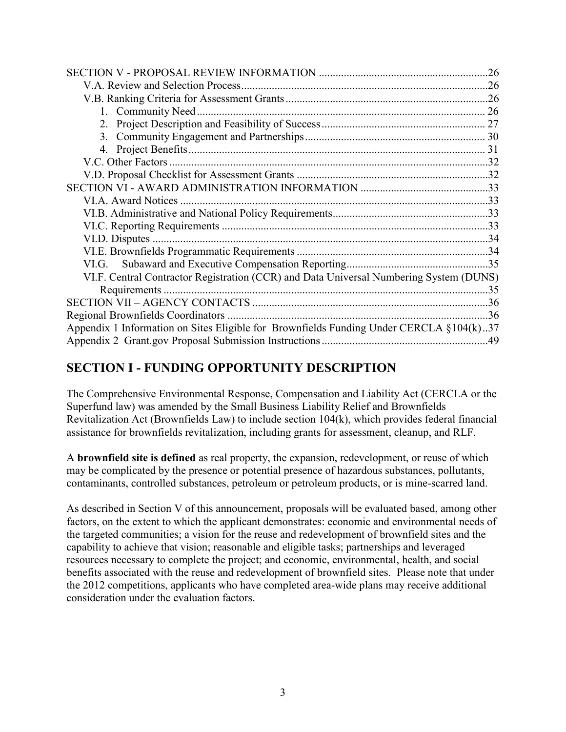|                                                                                         | .26 |
|-----------------------------------------------------------------------------------------|-----|
|                                                                                         |     |
|                                                                                         |     |
|                                                                                         |     |
|                                                                                         |     |
|                                                                                         |     |
|                                                                                         |     |
|                                                                                         |     |
|                                                                                         |     |
|                                                                                         |     |
|                                                                                         |     |
|                                                                                         |     |
|                                                                                         |     |
|                                                                                         |     |
|                                                                                         |     |
|                                                                                         |     |
| VI.F. Central Contractor Registration (CCR) and Data Universal Numbering System (DUNS)  |     |
|                                                                                         |     |
|                                                                                         |     |
|                                                                                         |     |
| Appendix 1 Information on Sites Eligible for Brownfields Funding Under CERCLA §104(k)37 |     |
|                                                                                         |     |

# <span id="page-2-0"></span>**SECTION I - FUNDING OPPORTUNITY DESCRIPTION**

 assistance for brownfields revitalization, including grants for assessment, cleanup, and RLF. The Comprehensive Environmental Response, Compensation and Liability Act (CERCLA or the Superfund law) was amended by the Small Business Liability Relief and Brownfields Revitalization Act (Brownfields Law) to include section 104(k), which provides federal financial

A **brownfield site is defined** as real property, the expansion, redevelopment, or reuse of which may be complicated by the presence or potential presence of hazardous substances, pollutants, contaminants, controlled substances, petroleum or petroleum products, or is mine-scarred land.

 benefits associated with the reuse and redevelopment of brownfield sites. Please note that under As described in Section V of this announcement, proposals will be evaluated based, among other factors, on the extent to which the applicant demonstrates: economic and environmental needs of the targeted communities; a vision for the reuse and redevelopment of brownfield sites and the capability to achieve that vision; reasonable and eligible tasks; partnerships and leveraged resources necessary to complete the project; and economic, environmental, health, and social the 2012 competitions, applicants who have completed area-wide plans may receive additional consideration under the evaluation factors.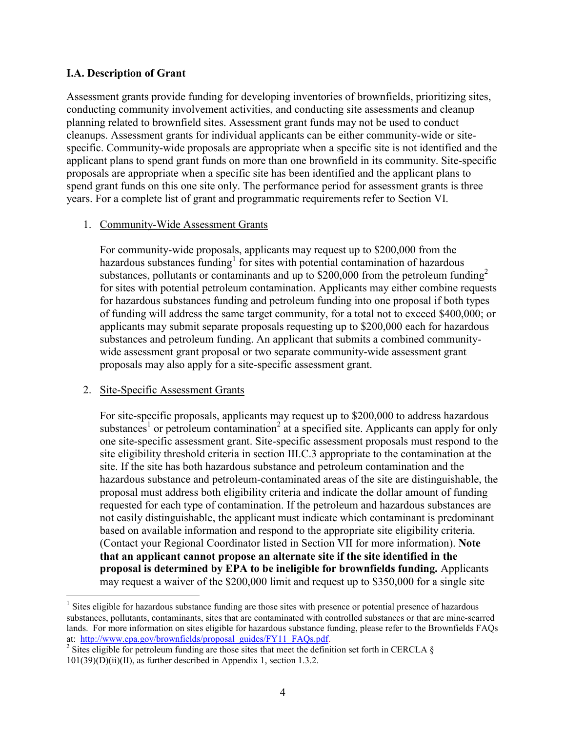#### <span id="page-3-0"></span>**I.A. Description of Grant**

 Assessment grants provide funding for developing inventories of brownfields, prioritizing sites, conducting community involvement activities, and conducting site assessments and cleanup planning related to brownfield sites. Assessment grant funds may not be used to conduct cleanups. Assessment grants for individual applicants can be either community-wide or sitespecific. Community-wide proposals are appropriate when a specific site is not identified and the applicant plans to spend grant funds on more than one brownfield in its community. Site-specific proposals are appropriate when a specific site has been identified and the applicant plans to spend grant funds on this one site only. The performance period for assessment grants is three years. For a complete list of grant and programmatic requirements refer to Section VI.

#### 1. Community-Wide Assessment Grants

hazardous substances funding<sup>1</sup> for sites with potential contamination of hazardous for sites with potential petroleum contamination. Applicants may either combine requests For community-wide proposals, applicants may request up to \$200,000 from the substances, pollutants or contaminants and up to  $$200,000$  from the petroleum funding<sup>2</sup> for hazardous substances funding and petroleum funding into one proposal if both types of funding will address the same target community, for a total not to exceed \$400,000; or applicants may submit separate proposals requesting up to \$200,000 each for hazardous substances and petroleum funding. An applicant that submits a combined communitywide assessment grant proposal or two separate community-wide assessment grant proposals may also apply for a site-specific assessment grant.

#### 2. Site-Specific Assessment Grants

 $\overline{a}$ 

For site-specific proposals, applicants may request up to \$200,000 to address hazardous substances<sup>1</sup> or petroleum contamination<sup>2</sup> at a specified site. Applicants can apply for only one site-specific assessment grant. Site-specific assessment proposals must respond to the site eligibility threshold criteria in section III.C.3 appropriate to the contamination at the site. If the site has both hazardous substance and petroleum contamination and the hazardous substance and petroleum-contaminated areas of the site are distinguishable, the proposal must address both eligibility criteria and indicate the dollar amount of funding requested for each type of contamination. If the petroleum and hazardous substances are not easily distinguishable, the applicant must indicate which contaminant is predominant based on available information and respond to the appropriate site eligibility criteria. (Contact your Regional Coordinator listed in Section VII for more information). **Note that an applicant cannot propose an alternate site if the site identified in the proposal is determined by EPA to be ineligible for brownfields funding.** Applicants may request a waiver of the \$200,000 limit and request up to \$350,000 for a single site

 $1$  Sites eligible for hazardous substance funding are those sites with presence or potential presence of hazardous substances, pollutants, contaminants, sites that are contaminated with controlled substances or that are mine-scarred lands. For more information on sites eligible for hazardous substance funding, please refer to the Brownfields FAQs at: http://www.epa.gov/brownfields/proposal guides/FY11 FAQs.pdf. at: http://www.epa.gov/brownfields/proposal\_guides/FY11\_FAQs.pdf.<br><sup>2</sup> Sites eligible for petroleum funding are those sites that meet the definition set forth in CERCLA §

 101(39)(D)(ii)(II), as further described in Appendix 1, section 1.3.2.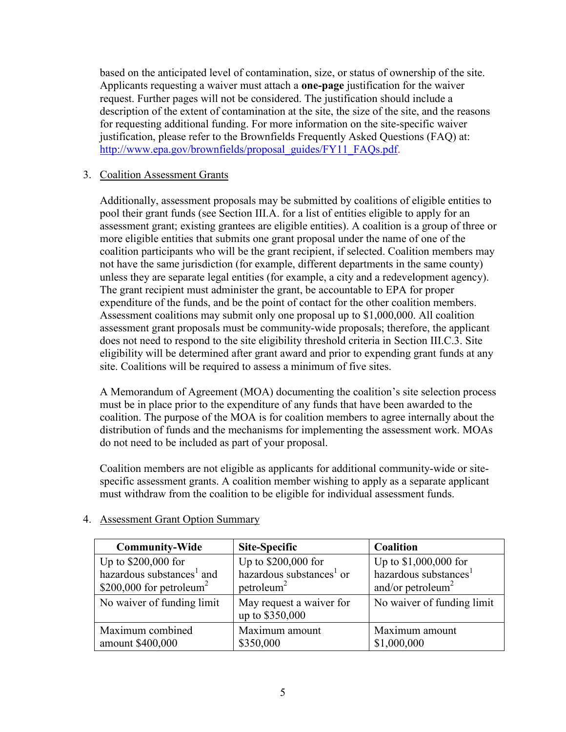Applicants requesting a waiver must attach a **one-page** justification for the waiver justification, please refer to the Brownfields Frequently Asked Questions (FAQ) at: based on the anticipated level of contamination, size, or status of ownership of the site. request. Further pages will not be considered. The justification should include a description of the extent of contamination at the site, the size of the site, and the reasons for requesting additional funding. For more information on the site-specific waiver [http://www.epa.gov/brownfields/proposal\\_guides/FY11\\_FAQs.pdf.](http://www.epa.gov/brownfields/proposal_guides/FY11_FAQs.pdf)

## 3. Coalition Assessment Grants

 pool their grant funds (see Section III.A. for a list of entities eligible to apply for an assessment grant; existing grantees are eligible entities). A coalition is a group of three or Assessment coalitions may submit only one proposal up to \$1,000,000. All coalition does not need to respond to the site eligibility threshold criteria in Section III.C.3. Site Additionally, assessment proposals may be submitted by coalitions of eligible entities to more eligible entities that submits one grant proposal under the name of one of the coalition participants who will be the grant recipient, if selected. Coalition members may not have the same jurisdiction (for example, different departments in the same county) unless they are separate legal entities (for example, a city and a redevelopment agency). The grant recipient must administer the grant, be accountable to EPA for proper expenditure of the funds, and be the point of contact for the other coalition members. assessment grant proposals must be community-wide proposals; therefore, the applicant eligibility will be determined after grant award and prior to expending grant funds at any site. Coalitions will be required to assess a minimum of five sites.

A Memorandum of Agreement (MOA) documenting the coalition's site selection process must be in place prior to the expenditure of any funds that have been awarded to the coalition. The purpose of the MOA is for coalition members to agree internally about the distribution of funds and the mechanisms for implementing the assessment work. MOAs do not need to be included as part of your proposal.

Coalition members are not eligible as applicants for additional community-wide or sitespecific assessment grants. A coalition member wishing to apply as a separate applicant must withdraw from the coalition to be eligible for individual assessment funds.

| <b>Community-Wide</b>                 | Site-Specific                               | Coalition                         |  |
|---------------------------------------|---------------------------------------------|-----------------------------------|--|
| Up to \$200,000 for                   | Up to \$200,000 for                         | Up to \$1,000,000 for             |  |
| hazardous substances <sup>1</sup> and | hazardous substances <sup>1</sup> or        | hazardous substances <sup>1</sup> |  |
| \$200,000 for petroleum <sup>2</sup>  | petroleum <sup>2</sup>                      | and/or petroleum <sup>2</sup>     |  |
| No waiver of funding limit            | May request a waiver for<br>up to \$350,000 | No waiver of funding limit        |  |
| Maximum combined                      | Maximum amount                              | Maximum amount                    |  |
| amount \$400,000                      | \$350,000                                   | \$1,000,000                       |  |

## 4. Assessment Grant Option Summary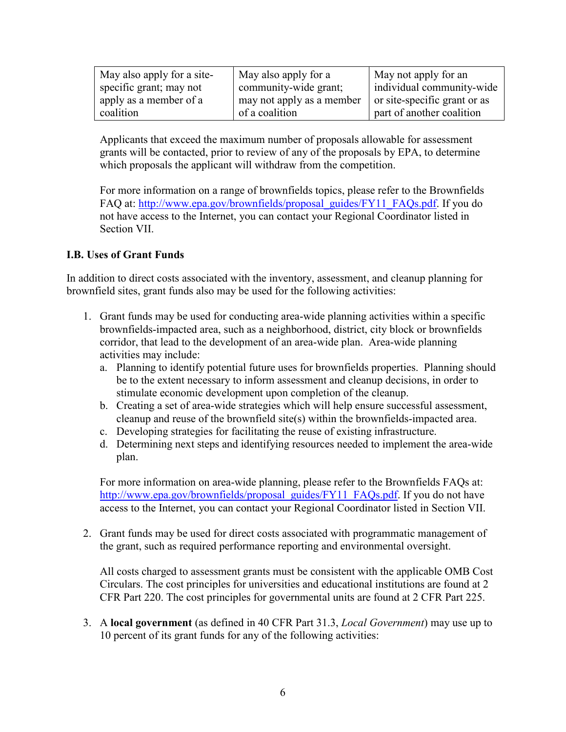| May also apply for a site- | May also apply for a      | May not apply for an         |
|----------------------------|---------------------------|------------------------------|
| specific grant; may not    | community-wide grant;     | individual community-wide    |
| apply as a member of a     | may not apply as a member | or site-specific grant or as |
| coalition                  | of a coalition            | part of another coalition    |

Applicants that exceed the maximum number of proposals allowable for assessment grants will be contacted, prior to review of any of the proposals by EPA, to determine which proposals the applicant will withdraw from the competition.

FAQ at: [http://www.epa.gov/brownfields/proposal\\_guides/FY11\\_FAQs.pdf.](http://www.epa.gov/brownfields/proposal_guides/FY11_FAQs.pdf) If you do For more information on a range of brownfields topics, please refer to the Brownfields not have access to the Internet, you can contact your Regional Coordinator listed in Section VII.

## <span id="page-5-0"></span>**I.B. Uses of Grant Funds**

In addition to direct costs associated with the inventory, assessment, and cleanup planning for brownfield sites, grant funds also may be used for the following activities:

- 1. Grant funds may be used for conducting area-wide planning activities within a specific brownfields-impacted area, such as a neighborhood, district, city block or brownfields corridor, that lead to the development of an area-wide plan. Area-wide planning activities may include:
	- a. Planning to identify potential future uses for brownfields properties. Planning should be to the extent necessary to inform assessment and cleanup decisions, in order to stimulate economic development upon completion of the cleanup.
	- b. Creating a set of area-wide strategies which will help ensure successful assessment, cleanup and reuse of the brownfield site(s) within the brownfields-impacted area.
	- c. Developing strategies for facilitating the reuse of existing infrastructure.
	- d. Determining next steps and identifying resources needed to implement the area-wide plan.

[http://www.epa.gov/brownfields/proposal\\_guides/FY11\\_FAQs.pdf.](http://www.epa.gov/brownfields/proposal_guides/FY11_FAQs.pdf) If you do not have For more information on area-wide planning, please refer to the Brownfields FAQs at: access to the Internet, you can contact your Regional Coordinator listed in Section VII.

 the grant, such as required performance reporting and environmental oversight. 2. Grant funds may be used for direct costs associated with programmatic management of

All costs charged to assessment grants must be consistent with the applicable OMB Cost Circulars. The cost principles for universities and educational institutions are found at 2 CFR Part 220. The cost principles for governmental units are found at 2 CFR Part 225.

3. A **local government** (as defined in 40 CFR Part 31.3, *Local Government*) may use up to 10 percent of its grant funds for any of the following activities: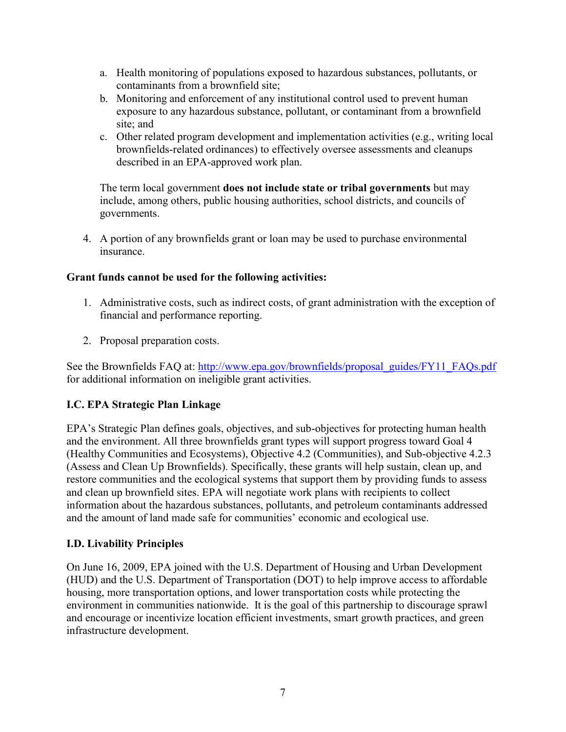- a. Health monitoring of populations exposed to hazardous substances, pollutants, or contaminants from a brownfield site;
- b. Monitoring and enforcement of any institutional control used to prevent human exposure to any hazardous substance, pollutant, or contaminant from a brownfield site; and
- c. Other related program development and implementation activities (e.g., writing local brownfields-related ordinances) to effectively oversee assessments and cleanups described in an EPA-approved work plan.

 The term local government **does not include state or tribal governments** but may include, among others, public housing authorities, school districts, and councils of governments.

4. A portion of any brownfields grant or loan may be used to purchase environmental insurance.

## **Grant funds cannot be used for the following activities:**

- 1. Administrative costs, such as indirect costs, of grant administration with the exception of financial and performance reporting.
- 2. Proposal preparation costs.

See the Brownfields FAQ at: http://www.epa.gov/brownfields/proposal\_guides/FY11\_FAQs.pdf for additional information on ineligible grant activities.

## <span id="page-6-0"></span>**I.C. EPA Strategic Plan Linkage**

EPA's Strategic Plan defines goals, objectives, and sub-objectives for protecting human health and the environment. All three brownfields grant types will support progress toward Goal 4 (Healthy Communities and Ecosystems), Objective 4.2 (Communities), and Sub-objective 4.2.3 (Assess and Clean Up Brownfields). Specifically, these grants will help sustain, clean up, and restore communities and the ecological systems that support them by providing funds to assess and clean up brownfield sites. EPA will negotiate work plans with recipients to collect information about the hazardous substances, pollutants, and petroleum contaminants addressed and the amount of land made safe for communities' economic and ecological use.

## <span id="page-6-1"></span>**I.D. Livability Principles**

On June 16, 2009, EPA joined with the U.S. Department of Housing and Urban Development (HUD) and the U.S. Department of Transportation (DOT) to help improve access to affordable housing, more transportation options, and lower transportation costs while protecting the environment in communities nationwide. It is the goal of this partnership to discourage sprawl and encourage or incentivize location efficient investments, smart growth practices, and green infrastructure development.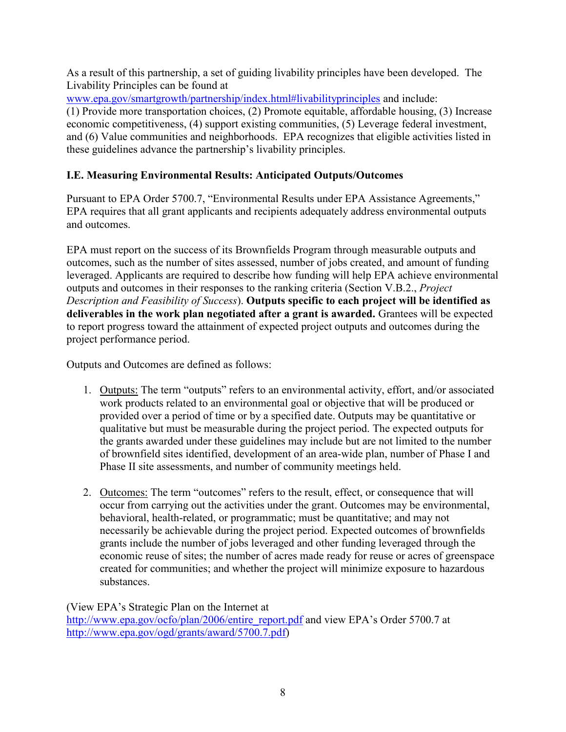As a result of this partnership, a set of guiding livability principles have been developed. The Livability Principles can be found at

[www.epa.gov/smartgrowth/partnership/index.html#livabilityprinciples](http://www.epa.gov/smartgrowth/partnership/index.html#livabilityprinciples) and include:

 (1) Provide more transportation choices, (2) Promote equitable, affordable housing, (3) Increase economic competitiveness, (4) support existing communities, (5) Leverage federal investment, and (6) Value communities and neighborhoods. EPA recognizes that eligible activities listed in these guidelines advance the partnership's livability principles.

## <span id="page-7-0"></span> **I.E. Measuring Environmental Results: Anticipated Outputs/Outcomes**

Pursuant to EPA Order 5700.7, "Environmental Results under EPA Assistance Agreements," EPA requires that all grant applicants and recipients adequately address environmental outputs and outcomes.

 to report progress toward the attainment of expected project outputs and outcomes during the project performance period. EPA must report on the success of its Brownfields Program through measurable outputs and outcomes, such as the number of sites assessed, number of jobs created, and amount of funding leveraged. Applicants are required to describe how funding will help EPA achieve environmental outputs and outcomes in their responses to the ranking criteria (Section V.B.2., *Project Description and Feasibility of Success*). **Outputs specific to each project will be identified as deliverables in the work plan negotiated after a grant is awarded.** Grantees will be expected

project performance period. Outputs and Outcomes are defined as follows:

- 1. Outputs: The term "outputs" refers to an environmental activity, effort, and/or associated work products related to an environmental goal or objective that will be produced or provided over a period of time or by a specified date. Outputs may be quantitative or qualitative but must be measurable during the project period. The expected outputs for the grants awarded under these guidelines may include but are not limited to the number of brownfield sites identified, development of an area-wide plan, number of Phase I and Phase II site assessments, and number of community meetings held.
- 2. Outcomes: The term "outcomes" refers to the result, effect, or consequence that will occur from carrying out the activities under the grant. Outcomes may be environmental, behavioral, health-related, or programmatic; must be quantitative; and may not necessarily be achievable during the project period. Expected outcomes of brownfields grants include the number of jobs leveraged and other funding leveraged through the economic reuse of sites; the number of acres made ready for reuse or acres of greenspace created for communities; and whether the project will minimize exposure to hazardous substances.

 (View EPA's Strategic Plan on the Internet at [http://www.epa.gov/ocfo/plan/2006/entire\\_report.pdf](http://www.epa.gov/ocfo/plan/2006/entire_report.pdf) and view EPA's Order 5700.7 at [http://www.epa.gov/ogd/grants/award/5700.7.pdf\)](http://www.epa.gov/ogd/grants/award/5700.7.pdf)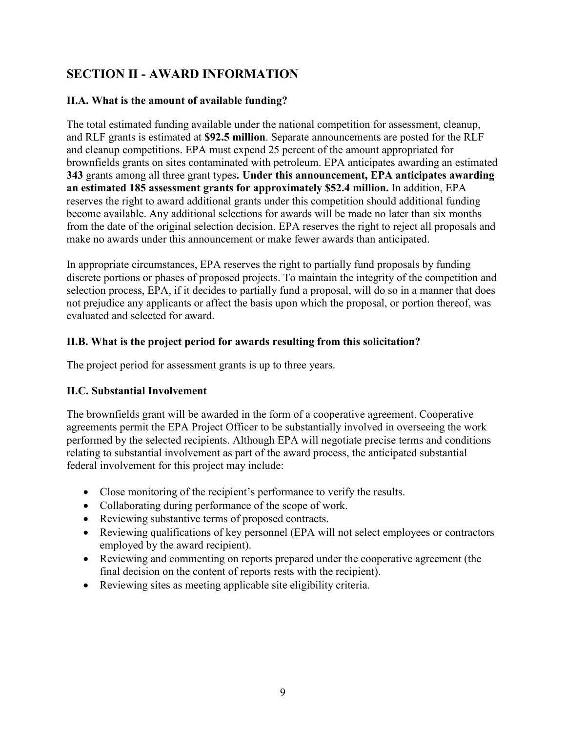# <span id="page-8-0"></span> **SECTION II - AWARD INFORMATION**

## <span id="page-8-1"></span> **II.A. What is the amount of available funding?**

 The total estimated funding available under the national competition for assessment, cleanup,  **an estimated 185 assessment grants for approximately \$52.4 million.** In addition, EPA and RLF grants is estimated at **\$92.5 million**. Separate announcements are posted for the RLF and cleanup competitions. EPA must expend 25 percent of the amount appropriated for brownfields grants on sites contaminated with petroleum. EPA anticipates awarding an estimated **343** grants among all three grant types**. Under this announcement, EPA anticipates awarding**  reserves the right to award additional grants under this competition should additional funding become available. Any additional selections for awards will be made no later than six months from the date of the original selection decision. EPA reserves the right to reject all proposals and make no awards under this announcement or make fewer awards than anticipated.

In appropriate circumstances, EPA reserves the right to partially fund proposals by funding discrete portions or phases of proposed projects. To maintain the integrity of the competition and selection process, EPA, if it decides to partially fund a proposal, will do so in a manner that does not prejudice any applicants or affect the basis upon which the proposal, or portion thereof, was evaluated and selected for award.

## <span id="page-8-2"></span>**II.B. What is the project period for awards resulting from this solicitation?**

The project period for assessment grants is up to three years.

## <span id="page-8-3"></span>**II.C. Substantial Involvement**

The brownfields grant will be awarded in the form of a cooperative agreement. Cooperative agreements permit the EPA Project Officer to be substantially involved in overseeing the work performed by the selected recipients. Although EPA will negotiate precise terms and conditions relating to substantial involvement as part of the award process, the anticipated substantial federal involvement for this project may include:

- Close monitoring of the recipient's performance to verify the results.
- Collaborating during performance of the scope of work.
- Reviewing substantive terms of proposed contracts.
- Reviewing qualifications of key personnel (EPA will not select employees or contractors employed by the award recipient).
- Reviewing and commenting on reports prepared under the cooperative agreement (the final decision on the content of reports rests with the recipient).
- Reviewing sites as meeting applicable site eligibility criteria.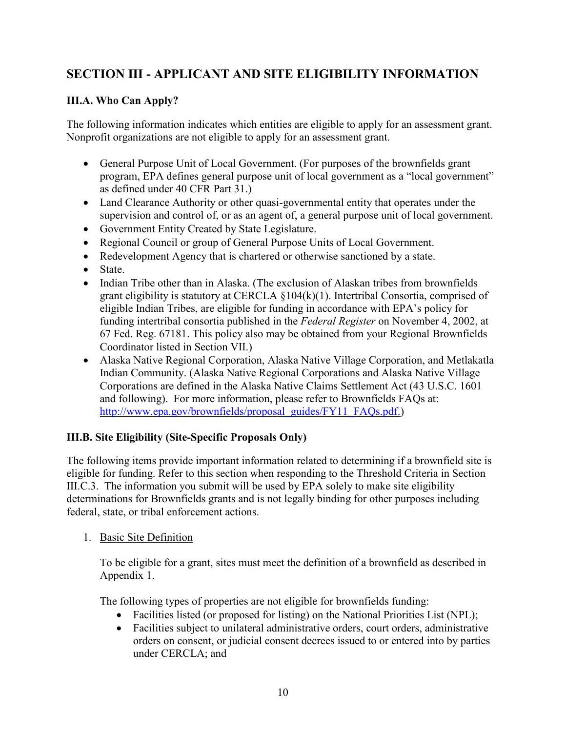# <span id="page-9-0"></span> **SECTION III - APPLICANT AND SITE ELIGIBILITY INFORMATION**

## <span id="page-9-1"></span>**III.A. Who Can Apply?**

 The following information indicates which entities are eligible to apply for an assessment grant. Nonprofit organizations are not eligible to apply for an assessment grant.

- General Purpose Unit of Local Government. (For purposes of the brownfields grant program, EPA defines general purpose unit of local government as a "local government" as defined under 40 CFR Part 31.)
- Land Clearance Authority or other quasi-governmental entity that operates under the supervision and control of, or as an agent of, a general purpose unit of local government.
- Government Entity Created by State Legislature.
- Regional Council or group of General Purpose Units of Local Government.
- Redevelopment Agency that is chartered or otherwise sanctioned by a state.
- State.
- Indian Tribe other than in Alaska. (The exclusion of Alaskan tribes from brownfields grant eligibility is statutory at CERCLA §104(k)(1). Intertribal Consortia, comprised of eligible Indian Tribes, are eligible for funding in accordance with EPA's policy for funding intertribal consortia published in the *Federal Register* on November 4, 2002, at 67 Fed. Reg. 67181. This policy also may be obtained from your Regional Brownfields Coordinator listed in Section VII.)
- and following). For more information, please refer to Brownfields FAQs at: Alaska Native Regional Corporation, Alaska Native Village Corporation, and Metlakatla Indian Community. (Alaska Native Regional Corporations and Alaska Native Village Corporations are defined in the Alaska Native Claims Settlement Act (43 U.S.C. 1601 [http://www.epa.gov/brownfields/proposal\\_guides/FY11\\_FAQs.pdf.](http://www.epa.gov/brownfields/proposal_guides/FY11_FAQs.pdf))

## <span id="page-9-2"></span>**III.B. Site Eligibility (Site-Specific Proposals Only)**

 III.C.3. The information you submit will be used by EPA solely to make site eligibility The following items provide important information related to determining if a brownfield site is eligible for funding. Refer to this section when responding to the Threshold Criteria in Section determinations for Brownfields grants and is not legally binding for other purposes including federal, state, or tribal enforcement actions.

1. Basic Site Definition

 To be eligible for a grant, sites must meet the definition of a brownfield as described in Appendix 1.

The following types of properties are not eligible for brownfields funding:

- Facilities listed (or proposed for listing) on the National Priorities List (NPL);
- Facilities subject to unilateral administrative orders, court orders, administrative orders on consent, or judicial consent decrees issued to or entered into by parties under CERCLA; and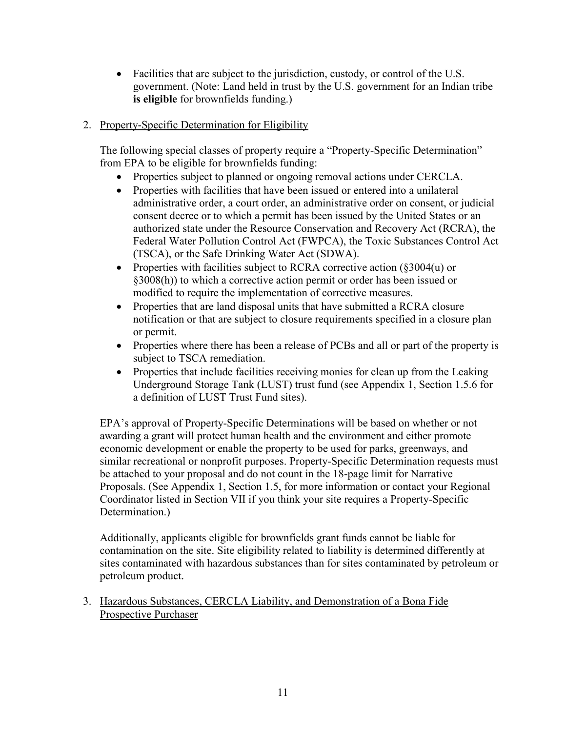- Facilities that are subject to the jurisdiction, custody, or control of the U.S. government. (Note: Land held in trust by the U.S. government for an Indian tribe **is eligible** for brownfields funding.)
- 2. Property-Specific Determination for Eligibility

 The following special classes of property require a "Property-Specific Determination" from EPA to be eligible for brownfields funding:

- Properties subject to planned or ongoing removal actions under CERCLA.
- Properties with facilities that have been issued or entered into a unilateral administrative order, a court order, an administrative order on consent, or judicial consent decree or to which a permit has been issued by the United States or an authorized state under the Resource Conservation and Recovery Act (RCRA), the Federal Water Pollution Control Act (FWPCA), the Toxic Substances Control Act (TSCA), or the Safe Drinking Water Act (SDWA).
- Properties with facilities subject to RCRA corrective action (§3004(u) or §3008(h)) to which a corrective action permit or order has been issued or modified to require the implementation of corrective measures.
- Properties that are land disposal units that have submitted a RCRA closure notification or that are subject to closure requirements specified in a closure plan or permit.
- Properties where there has been a release of PCBs and all or part of the property is subject to TSCA remediation.
- Underground Storage Tank (LUST) trust fund (see Appendix 1, Section 1.5.6 for Properties that include facilities receiving monies for clean up from the Leaking a definition of LUST Trust Fund sites).

 similar recreational or nonprofit purposes. Property-Specific Determination requests must Proposals. (See Appendix 1, Section 1.5, for more information or contact your Regional EPA's approval of Property-Specific Determinations will be based on whether or not awarding a grant will protect human health and the environment and either promote economic development or enable the property to be used for parks, greenways, and be attached to your proposal and do not count in the 18-page limit for Narrative Coordinator listed in Section VII if you think your site requires a Property-Specific Determination.)

 petroleum product. Additionally, applicants eligible for brownfields grant funds cannot be liable for contamination on the site. Site eligibility related to liability is determined differently at sites contaminated with hazardous substances than for sites contaminated by petroleum or

 3. Hazardous Substances, CERCLA Liability, and Demonstration of a Bona Fide Prospective Purchaser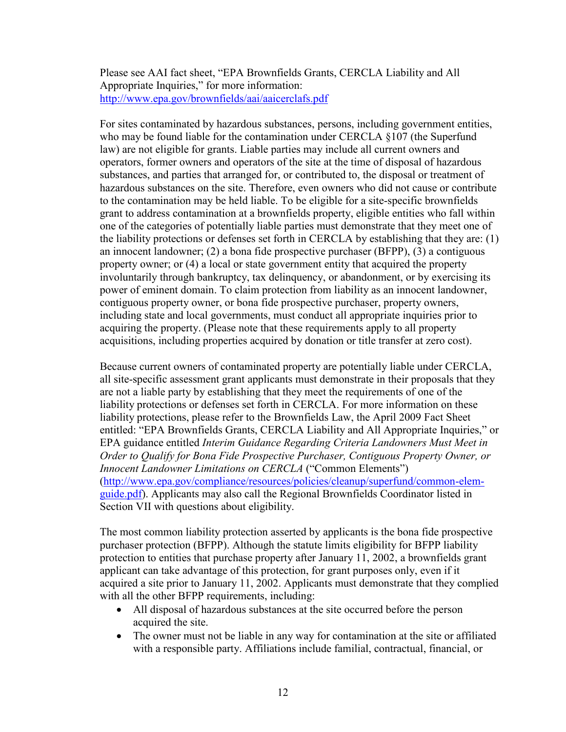Please see AAI fact sheet, "EPA Brownfields Grants, CERCLA Liability and All Appropriate Inquiries," for more information: <http://www.epa.gov/brownfields/aai/aaicerclafs.pdf>

 For sites contaminated by hazardous substances, persons, including government entities, to the contamination may be held liable. To be eligible for a site-specific brownfields the liability protections or defenses set forth in CERCLA by establishing that they are: (1) property owner; or (4) a local or state government entity that acquired the property who may be found liable for the contamination under CERCLA §107 (the Superfund law) are not eligible for grants. Liable parties may include all current owners and operators, former owners and operators of the site at the time of disposal of hazardous substances, and parties that arranged for, or contributed to, the disposal or treatment of hazardous substances on the site. Therefore, even owners who did not cause or contribute grant to address contamination at a brownfields property, eligible entities who fall within one of the categories of potentially liable parties must demonstrate that they meet one of an innocent landowner; (2) a bona fide prospective purchaser (BFPP), (3) a contiguous involuntarily through bankruptcy, tax delinquency, or abandonment, or by exercising its power of eminent domain. To claim protection from liability as an innocent landowner, contiguous property owner, or bona fide prospective purchaser, property owners, including state and local governments, must conduct all appropriate inquiries prior to acquiring the property. (Please note that these requirements apply to all property acquisitions, including properties acquired by donation or title transfer at zero cost).

 are not a liable party by establishing that they meet the requirements of one of the Because current owners of contaminated property are potentially liable under CERCLA, all site-specific assessment grant applicants must demonstrate in their proposals that they liability protections or defenses set forth in CERCLA. For more information on these liability protections, please refer to the Brownfields Law, the April 2009 Fact Sheet entitled: "EPA Brownfields Grants, CERCLA Liability and All Appropriate Inquiries," or EPA guidance entitled *Interim Guidance Regarding Criteria Landowners Must Meet in Order to Qualify for Bona Fide Prospective Purchaser, Contiguous Property Owner, or Innocent Landowner Limitations on CERCLA* ("Common Elements") [\(http://www.epa.gov/compliance/resources/policies/cleanup/superfund/common-elem](http://www.epa.gov/compliance/resources/policies/cleanup/superfund/common-elem-guide.pdf)[guide.pdf\)](http://www.epa.gov/compliance/resources/policies/cleanup/superfund/common-elem-guide.pdf). Applicants may also call the Regional Brownfields Coordinator listed in Section VII with questions about eligibility.

 The most common liability protection asserted by applicants is the bona fide prospective purchaser protection (BFPP). Although the statute limits eligibility for BFPP liability acquired a site prior to January 11, 2002. Applicants must demonstrate that they complied protection to entities that purchase property after January 11, 2002, a brownfields grant applicant can take advantage of this protection, for grant purposes only, even if it with all the other BFPP requirements, including:

- All disposal of hazardous substances at the site occurred before the person acquired the site.
- The owner must not be liable in any way for contamination at the site or affiliated with a responsible party. Affiliations include familial, contractual, financial, or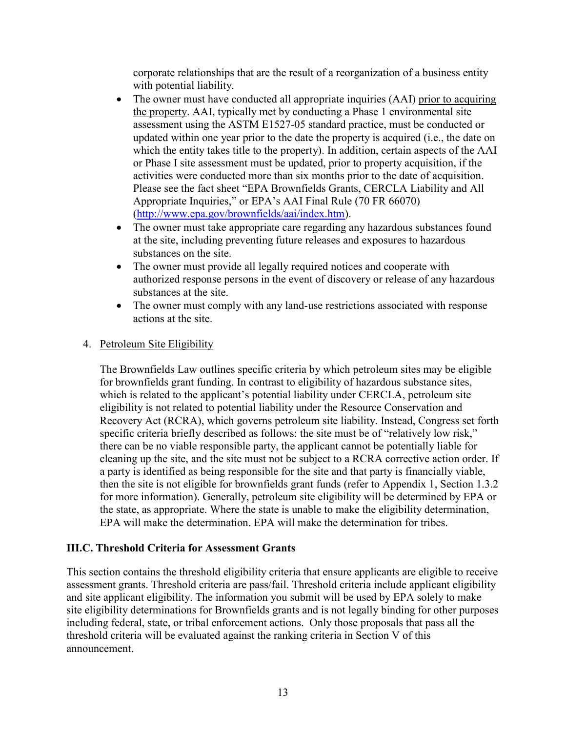corporate relationships that are the result of a reorganization of a business entity with potential liability.

- The owner must have conducted all appropriate inquiries (AAI) prior to acquiring the property. AAI, typically met by conducting a Phase 1 environmental site activities were conducted more than six months prior to the date of acquisition. assessment using the ASTM E1527-05 standard practice, must be conducted or updated within one year prior to the date the property is acquired (i.e., the date on which the entity takes title to the property). In addition, certain aspects of the AAI or Phase I site assessment must be updated, prior to property acquisition, if the Please see the fact sheet "EPA Brownfields Grants, CERCLA Liability and All Appropriate Inquiries," or EPA's AAI Final Rule (70 FR 66070) [\(http://www.epa.gov/brownfields/aai/index.htm\)](http://www.epa.gov/brownfields/aai/index.htm).
- substances on the site. • The owner must take appropriate care regarding any hazardous substances found at the site, including preventing future releases and exposures to hazardous
- substances at the site. • The owner must provide all legally required notices and cooperate with authorized response persons in the event of discovery or release of any hazardous
- actions at the site. • The owner must comply with any land-use restrictions associated with response

## 4. Petroleum Site Eligibility

 there can be no viable responsible party, the applicant cannot be potentially liable for The Brownfields Law outlines specific criteria by which petroleum sites may be eligible for brownfields grant funding. In contrast to eligibility of hazardous substance sites, which is related to the applicant's potential liability under CERCLA, petroleum site eligibility is not related to potential liability under the Resource Conservation and Recovery Act (RCRA), which governs petroleum site liability. Instead, Congress set forth specific criteria briefly described as follows: the site must be of "relatively low risk," cleaning up the site, and the site must not be subject to a RCRA corrective action order. If a party is identified as being responsible for the site and that party is financially viable, then the site is not eligible for brownfields grant funds (refer to Appendix 1, Section 1.3.2 for more information). Generally, petroleum site eligibility will be determined by EPA or the state, as appropriate. Where the state is unable to make the eligibility determination, EPA will make the determination. EPA will make the determination for tribes.

## <span id="page-12-0"></span> **III.C. Threshold Criteria for Assessment Grants**

 including federal, state, or tribal enforcement actions. Only those proposals that pass all the This section contains the threshold eligibility criteria that ensure applicants are eligible to receive assessment grants. Threshold criteria are pass/fail. Threshold criteria include applicant eligibility and site applicant eligibility. The information you submit will be used by EPA solely to make site eligibility determinations for Brownfields grants and is not legally binding for other purposes threshold criteria will be evaluated against the ranking criteria in Section V of this announcement.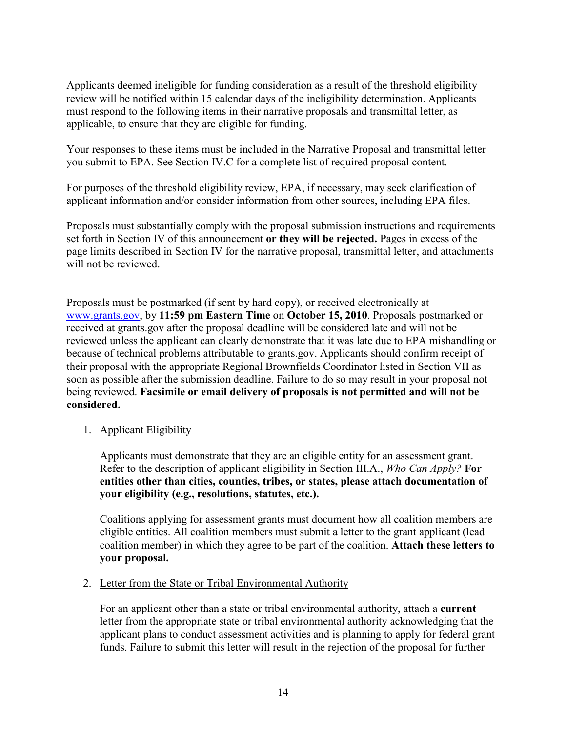applicable, to ensure that they are eligible for funding. Applicants deemed ineligible for funding consideration as a result of the threshold eligibility review will be notified within 15 calendar days of the ineligibility determination. Applicants must respond to the following items in their narrative proposals and transmittal letter, as

Your responses to these items must be included in the Narrative Proposal and transmittal letter you submit to EPA. See Section IV.C for a complete list of required proposal content.

For purposes of the threshold eligibility review, EPA, if necessary, may seek clarification of applicant information and/or consider information from other sources, including EPA files.

Proposals must substantially comply with the proposal submission instructions and requirements set forth in Section IV of this announcement **or they will be rejected.** Pages in excess of the page limits described in Section IV for the narrative proposal, transmittal letter, and attachments will not be reviewed.

 [www.grants.gov,](http://www.grants.gov/) by **11:59 pm Eastern Time** on **October 15, 2010**. Proposals postmarked or received at grants.gov after the proposal deadline will be considered late and will not be reviewed unless the applicant can clearly demonstrate that it was late due to EPA mishandling or  being reviewed. **Facsimile or email delivery of proposals is not permitted and will not be**  Proposals must be postmarked (if sent by hard copy), or received electronically at because of technical problems attributable to grants.gov. Applicants should confirm receipt of their proposal with the appropriate Regional Brownfields Coordinator listed in Section VII as soon as possible after the submission deadline. Failure to do so may result in your proposal not **considered.** 

<span id="page-13-0"></span>1. Applicant Eligibility

 Refer to the description of applicant eligibility in Section III.A., *Who Can Apply?* **For**  Applicants must demonstrate that they are an eligible entity for an assessment grant. **entities other than cities, counties, tribes, or states, please attach documentation of your eligibility (e.g., resolutions, statutes, etc.).** 

 Coalitions applying for assessment grants must document how all coalition members are  coalition member) in which they agree to be part of the coalition. **Attach these letters to your proposal.**  eligible entities. All coalition members must submit a letter to the grant applicant (lead

#### <span id="page-13-1"></span>2. Letter from the State or Tribal Environmental Authority

 For an applicant other than a state or tribal environmental authority, attach a **current**  letter from the appropriate state or tribal environmental authority acknowledging that the applicant plans to conduct assessment activities and is planning to apply for federal grant funds. Failure to submit this letter will result in the rejection of the proposal for further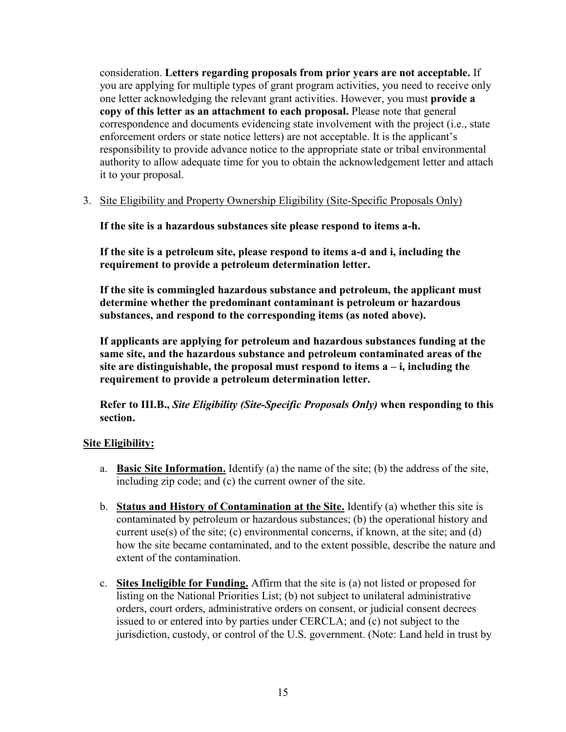you are applying for multiple types of grant program activities, you need to receive only consideration. **Letters regarding proposals from prior years are not acceptable.** If one letter acknowledging the relevant grant activities. However, you must **provide a copy of this letter as an attachment to each proposal.** Please note that general correspondence and documents evidencing state involvement with the project (i.e., state enforcement orders or state notice letters) are not acceptable. It is the applicant's responsibility to provide advance notice to the appropriate state or tribal environmental authority to allow adequate time for you to obtain the acknowledgement letter and attach it to your proposal.

<span id="page-14-0"></span>3. Site Eligibility and Property Ownership Eligibility (Site-Specific Proposals Only)

**If the site is a hazardous substances site please respond to items a-h.** 

**If the site is a petroleum site, please respond to items a-d and i, including the requirement to provide a petroleum determination letter.** 

**If the site is commingled hazardous substance and petroleum, the applicant must determine whether the predominant contaminant is petroleum or hazardous substances, and respond to the corresponding items (as noted above).** 

requirement to provide a petroleum determination letter. **If applicants are applying for petroleum and hazardous substances funding at the same site, and the hazardous substance and petroleum contaminated areas of the**   $\mathbf{A}$  is a are distinguishable, the proposal must respond to items  $\mathbf{a} - \mathbf{i}$ , including the

**Refer to III.B.,** *Site Eligibility (Site-Specific Proposals Only)* **when responding to this section.** 

## **Site Eligibility:**

- a. **Basic Site Information.** Identify (a) the name of the site; (b) the address of the site, including zip code; and (c) the current owner of the site.
- b. **Status and History of Contamination at the Site.** Identify (a) whether this site is contaminated by petroleum or hazardous substances; (b) the operational history and current use(s) of the site; (c) environmental concerns, if known, at the site; and (d) how the site became contaminated, and to the extent possible, describe the nature and extent of the contamination.
- c. **Sites Ineligible for Funding.** Affirm that the site is (a) not listed or proposed for listing on the National Priorities List; (b) not subject to unilateral administrative orders, court orders, administrative orders on consent, or judicial consent decrees issued to or entered into by parties under CERCLA; and (c) not subject to the jurisdiction, custody, or control of the U.S. government. (Note: Land held in trust by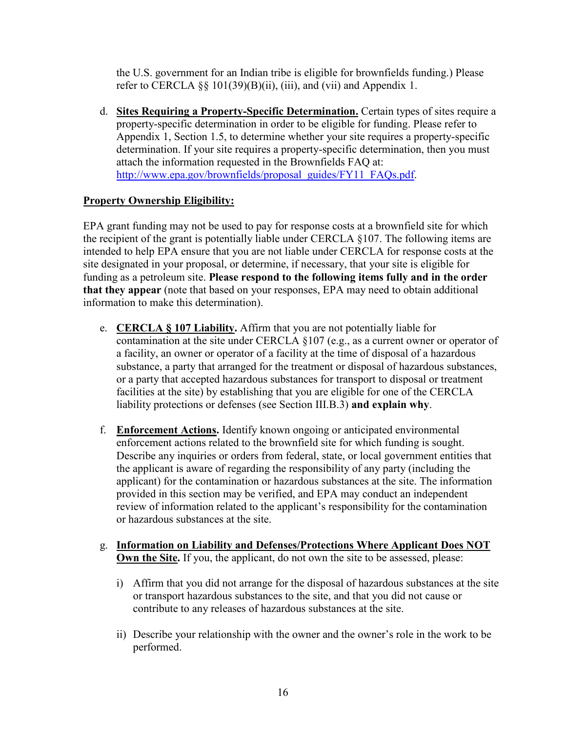refer to CERCLA  $\S\S 101(39)(B)(ii)$ , (iii), and (vii) and Appendix 1. the U.S. government for an Indian tribe is eligible for brownfields funding.) Please

d. **Sites Requiring a Property-Specific Determination.** Certain types of sites require a property-specific determination in order to be eligible for funding. Please refer to Appendix 1, Section 1.5, to determine whether your site requires a property-specific determination. If your site requires a property-specific determination, then you must attach the information requested in the Brownfields FAQ at: [http://www.epa.gov/brownfields/proposal\\_guides/FY11\\_FAQs.pdf.](http://www.epa.gov/brownfields/proposal_guides/FY11_FAQs.pdf)

## **Property Ownership Eligibility:**

 the recipient of the grant is potentially liable under CERCLA §107. The following items are EPA grant funding may not be used to pay for response costs at a brownfield site for which intended to help EPA ensure that you are not liable under CERCLA for response costs at the site designated in your proposal, or determine, if necessary, that your site is eligible for funding as a petroleum site. **Please respond to the following items fully and in the order that they appear** (note that based on your responses, EPA may need to obtain additional information to make this determination).

- contamination at the site under CERCLA §107 (e.g., as a current owner or operator of e. **CERCLA § 107 Liability.** Affirm that you are not potentially liable for a facility, an owner or operator of a facility at the time of disposal of a hazardous substance, a party that arranged for the treatment or disposal of hazardous substances, or a party that accepted hazardous substances for transport to disposal or treatment facilities at the site) by establishing that you are eligible for one of the CERCLA liability protections or defenses (see Section III.B.3) **and explain why**.
- f. **Enforcement Actions.** Identify known ongoing or anticipated environmental enforcement actions related to the brownfield site for which funding is sought. Describe any inquiries or orders from federal, state, or local government entities that the applicant is aware of regarding the responsibility of any party (including the applicant) for the contamination or hazardous substances at the site. The information provided in this section may be verified, and EPA may conduct an independent review of information related to the applicant's responsibility for the contamination or hazardous substances at the site.

#### g. **Information on Liability and Defenses/Protections Where Applicant Does NOT Own the Site.** If you, the applicant, do not own the site to be assessed, please:

- i) Affirm that you did not arrange for the disposal of hazardous substances at the site or transport hazardous substances to the site, and that you did not cause or contribute to any releases of hazardous substances at the site.
- ii) Describe your relationship with the owner and the owner's role in the work to be performed.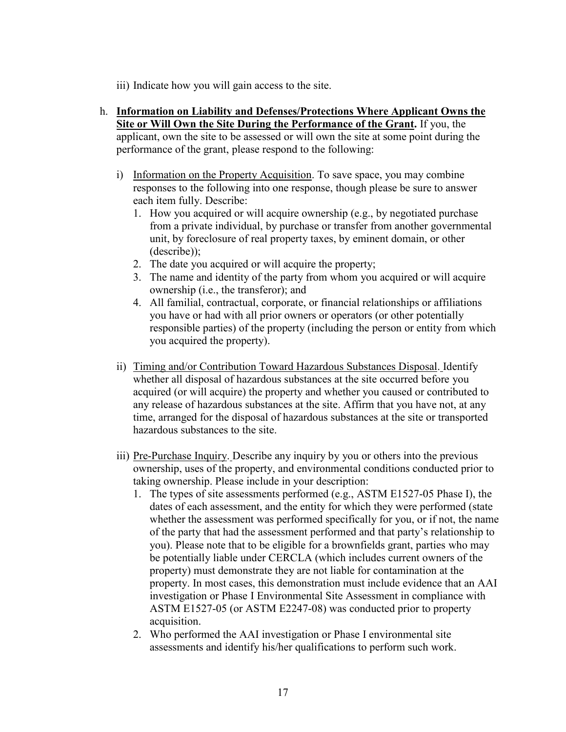- iii) Indicate how you will gain access to the site.
- **Site or Will Own the Site During the Performance of the Grant.** If you, the h. **Information on Liability and Defenses/Protections Where Applicant Owns the**  applicant, own the site to be assessed or will own the site at some point during the performance of the grant, please respond to the following:
	- i) Information on the Property Acquisition. To save space, you may combine responses to the following into one response, though please be sure to answer each item fully. Describe:
		- 1. How you acquired or will acquire ownership (e.g., by negotiated purchase from a private individual, by purchase or transfer from another governmental unit, by foreclosure of real property taxes, by eminent domain, or other (describe));
		- 2. The date you acquired or will acquire the property;
		- 3. The name and identity of the party from whom you acquired or will acquire ownership (i.e., the transferor); and
		- 4. All familial, contractual, corporate, or financial relationships or affiliations you have or had with all prior owners or operators (or other potentially responsible parties) of the property (including the person or entity from which you acquired the property).
	- ii) Timing and/or Contribution Toward Hazardous Substances Disposal. Identify whether all disposal of hazardous substances at the site occurred before you acquired (or will acquire) the property and whether you caused or contributed to any release of hazardous substances at the site. Affirm that you have not, at any time, arranged for the disposal of hazardous substances at the site or transported hazardous substances to the site.
	- taking ownership. Please include in your description: iii) Pre-Purchase Inquiry. Describe any inquiry by you or others into the previous ownership, uses of the property, and environmental conditions conducted prior to
		- taking ownership. Please include in your description: 1. The types of site assessments performed (e.g., ASTM E1527-05 Phase I), the you). Please note that to be eligible for a brownfields grant, parties who may investigation or Phase I Environmental Site Assessment in compliance with dates of each assessment, and the entity for which they were performed (state whether the assessment was performed specifically for you, or if not, the name of the party that had the assessment performed and that party's relationship to be potentially liable under CERCLA (which includes current owners of the property) must demonstrate they are not liable for contamination at the property. In most cases, this demonstration must include evidence that an AAI ASTM E1527-05 (or ASTM E2247-08) was conducted prior to property acquisition.
		- 2. Who performed the AAI investigation or Phase I environmental site assessments and identify his/her qualifications to perform such work.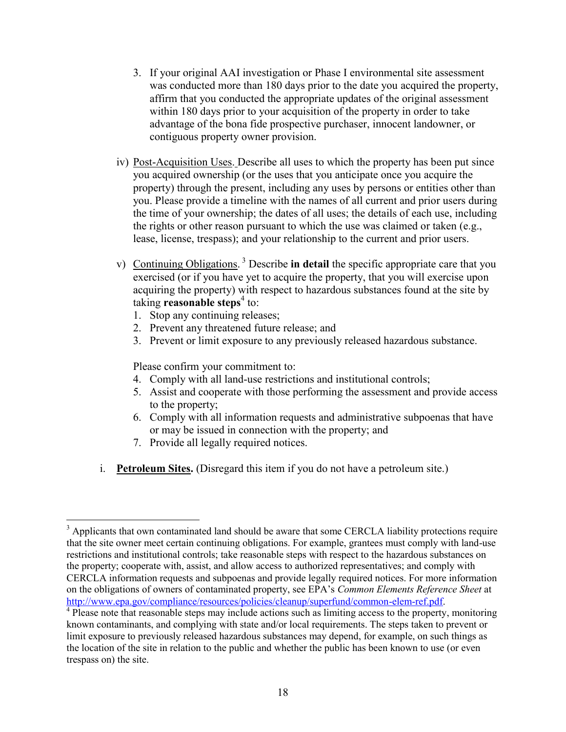- 3. If your original AAI investigation or Phase I environmental site assessment was conducted more than 180 days prior to the date you acquired the property, affirm that you conducted the appropriate updates of the original assessment within 180 days prior to your acquisition of the property in order to take contiguous property owner provision. advantage of the bona fide prospective purchaser, innocent landowner, or
- iv) Post-Acquisition Uses. Describe all uses to which the property has been put since you acquired ownership (or the uses that you anticipate once you acquire the property) through the present, including any uses by persons or entities other than you. Please provide a timeline with the names of all current and prior users during the time of your ownership; the dates of all uses; the details of each use, including the rights or other reason pursuant to which the use was claimed or taken (e.g., lease, license, trespass); and your relationship to the current and prior users.
- v) Continuing Obligations. 3 Describe **in detail** the specific appropriate care that you exercised (or if you have yet to acquire the property, that you will exercise upon acquiring the property) with respect to hazardous substances found at the site by taking **reasonable steps**4 to:
	- 1. Stop any continuing releases;
	- 2. Prevent any threatened future release; and
	- 3. Prevent or limit exposure to any previously released hazardous substance.

Please confirm your commitment to:

- 4. Comply with all land-use restrictions and institutional controls;
- 5. Assist and cooperate with those performing the assessment and provide access to the property;
- 6. Comply with all information requests and administrative subpoenas that have or may be issued in connection with the property; and
- 7. Provide all legally required notices.

 $\overline{a}$ 

i. **Petroleum Sites.** (Disregard this item if you do not have a petroleum site.)

 on the obligations of owners of contaminated property, see EPA's *Common Elements Reference Sheet* at  $3$  Applicants that own contaminated land should be aware that some CERCLA liability protections require that the site owner meet certain continuing obligations. For example, grantees must comply with land-use restrictions and institutional controls; take reasonable steps with respect to the hazardous substances on the property; cooperate with, assist, and allow access to authorized representatives; and comply with CERCLA information requests and subpoenas and provide legally required notices. For more information [http://www.epa.gov/compliance/resources/policies/cleanup/superfund/common-elem-ref.pdf.](http://www.epa.gov/compliance/resources/policies/cleanup/superfund/common-elem-ref.pdf)<br><sup>4</sup> Please note that reasonable steps may include actions such as limiting access to the property, monitoring

known contaminants, and complying with state and/or local requirements. The steps taken to prevent or limit exposure to previously released hazardous substances may depend, for example, on such things as the location of the site in relation to the public and whether the public has been known to use (or even trespass on) the site.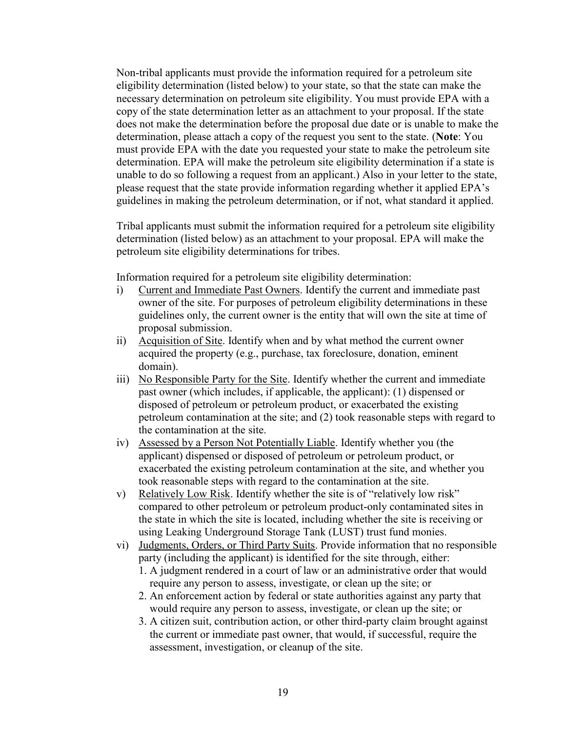determination, please attach a copy of the request you sent to the state. (**Note**: You Non-tribal applicants must provide the information required for a petroleum site eligibility determination (listed below) to your state, so that the state can make the necessary determination on petroleum site eligibility. You must provide EPA with a copy of the state determination letter as an attachment to your proposal. If the state does not make the determination before the proposal due date or is unable to make the must provide EPA with the date you requested your state to make the petroleum site determination. EPA will make the petroleum site eligibility determination if a state is unable to do so following a request from an applicant.) Also in your letter to the state, please request that the state provide information regarding whether it applied EPA's guidelines in making the petroleum determination, or if not, what standard it applied.

 petroleum site eligibility determinations for tribes. Tribal applicants must submit the information required for a petroleum site eligibility determination (listed below) as an attachment to your proposal. EPA will make the

Information required for a petroleum site eligibility determination:

- i) Current and Immediate Past Owners. Identify the current and immediate past owner of the site. For purposes of petroleum eligibility determinations in these guidelines only, the current owner is the entity that will own the site at time of proposal submission.
- ii) Acquisition of Site. Identify when and by what method the current owner acquired the property (e.g., purchase, tax foreclosure, donation, eminent domain).
- disposed of petroleum or petroleum product, or exacerbated the existing iii) No Responsible Party for the Site. Identify whether the current and immediate past owner (which includes, if applicable, the applicant): (1) dispensed or petroleum contamination at the site; and (2) took reasonable steps with regard to the contamination at the site.
- iv) Assessed by a Person Not Potentially Liable. Identify whether you (the applicant) dispensed or disposed of petroleum or petroleum product, or exacerbated the existing petroleum contamination at the site, and whether you took reasonable steps with regard to the contamination at the site.
- using Leaking Underground Storage Tank (LUST) trust fund monies. v) Relatively Low Risk. Identify whether the site is of "relatively low risk" compared to other petroleum or petroleum product-only contaminated sites in the state in which the site is located, including whether the site is receiving or
- vi) Judgments, Orders, or Third Party Suits. Provide information that no responsible party (including the applicant) is identified for the site through, either: 1. A judgment rendered in a court of law or an administrative order that would
	- require any person to assess, investigate, or clean up the site; or
	- 2. An enforcement action by federal or state authorities against any party that would require any person to assess, investigate, or clean up the site; or
	- 3. A citizen suit, contribution action, or other third-party claim brought against the current or immediate past owner, that would, if successful, require the assessment, investigation, or cleanup of the site.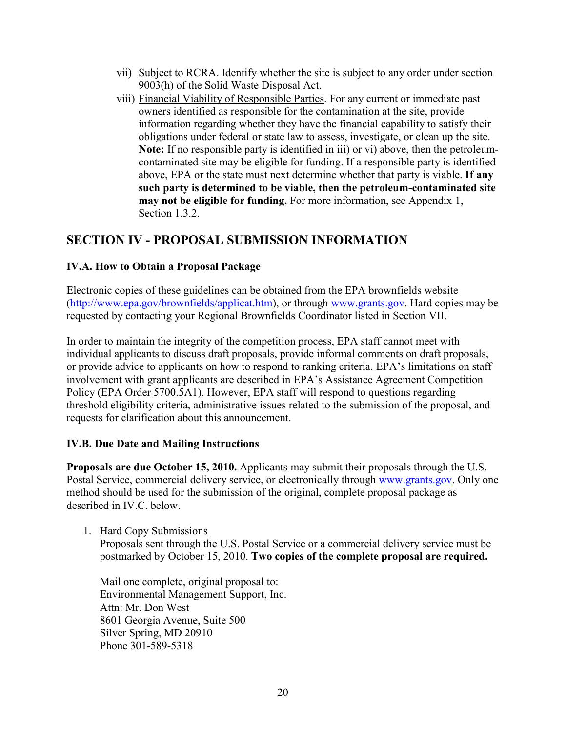- vii) Subject to RCRA. Identify whether the site is subject to any order under section 9003(h) of the Solid Waste Disposal Act.
- **Note:** If no responsible party is identified in iii) or vi) above, then the petroleumviii) Financial Viability of Responsible Parties. For any current or immediate past owners identified as responsible for the contamination at the site, provide information regarding whether they have the financial capability to satisfy their obligations under federal or state law to assess, investigate, or clean up the site. contaminated site may be eligible for funding. If a responsible party is identified above, EPA or the state must next determine whether that party is viable. **If any such party is determined to be viable, then the petroleum-contaminated site may not be eligible for funding.** For more information, see Appendix 1, Section 1.3.2.

# <span id="page-19-0"></span>**SECTION IV - PROPOSAL SUBMISSION INFORMATION**

## <span id="page-19-1"></span>**IV.A. How to Obtain a Proposal Package**

 requested by contacting your Regional Brownfields Coordinator listed in Section VII. Electronic copies of these guidelines can be obtained from the EPA brownfields website [\(http://www.epa.gov/brownfields/applicat.htm\),](http://www.epa.gov/brownfields/applicat.htm) or through [www.grants.gov.](http://www.grants.gov/) Hard copies may be

In order to maintain the integrity of the competition process, EPA staff cannot meet with individual applicants to discuss draft proposals, provide informal comments on draft proposals, or provide advice to applicants on how to respond to ranking criteria. EPA's limitations on staff involvement with grant applicants are described in EPA's Assistance Agreement Competition Policy (EPA Order 5700.5A1). However, EPA staff will respond to questions regarding threshold eligibility criteria, administrative issues related to the submission of the proposal, and requests for clarification about this announcement.

## <span id="page-19-2"></span>**IV.B. Due Date and Mailing Instructions**

Postal Service, commercial delivery service, or electronically through [www.grants.gov.](http://www.grants.gov/) Only one method should be used for the submission of the original, complete proposal package as **Proposals are due October 15, 2010.** Applicants may submit their proposals through the U.S. described in **IV.C.** below.

1. Hard Copy Submissions

Proposals sent through the U.S. Postal Service or a commercial delivery service must be postmarked by October 15, 2010. **Two copies of the complete proposal are required.** 

 Mail one complete, original proposal to: Environmental Management Support, Inc. Attn: Mr. Don West 8601 Georgia Avenue, Suite 500 Silver Spring, MD 20910 Phone 301-589-5318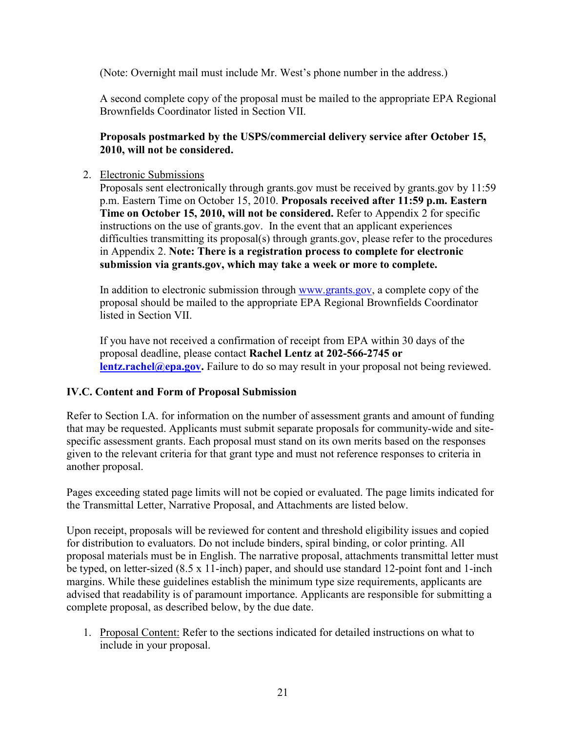(Note: Overnight mail must include Mr. West's phone number in the address.)

A second complete copy of the proposal must be mailed to the appropriate EPA Regional Brownfields Coordinator listed in Section VII.

## **Proposals postmarked by the USPS/commercial delivery service after October 15, 2010, will not be considered.**

#### 2. Electronic Submissions

 Proposals sent electronically through grants.gov must be received by grants.gov by 11:59 p.m. Eastern Time on October 15, 2010. **Proposals received after 11:59 p.m. Eastern Time on October 15, 2010, will not be considered.** Refer to Appendix 2 for specific instructions on the use of grants.gov. In the event that an applicant experiences difficulties transmitting its proposal(s) through grants.gov, please refer to the procedures in Appendix 2. **Note: There is a registration process to complete for electronic submission via grants.gov, which may take a week or more to complete.** 

In addition to electronic submission through [www.grants.gov,](http://www.grants.gov/) a complete copy of the proposal should be mailed to the appropriate EPA Regional Brownfields Coordinator listed in Section VII.

 proposal deadline, please contact **Rachel Lentz at 202-566-2745 or**  If you have not received a confirmation of receipt from EPA within 30 days of the **[lentz.rachel@epa.gov.](mailto:lentz.rachel@epa.gov)** Failure to do so may result in your proposal not being reviewed.

## <span id="page-20-0"></span>**IV.C. Content and Form of Proposal Submission**

 that may be requested. Applicants must submit separate proposals for community-wide and site-Refer to Section I.A. for information on the number of assessment grants and amount of funding specific assessment grants. Each proposal must stand on its own merits based on the responses given to the relevant criteria for that grant type and must not reference responses to criteria in another proposal.

the Transmittal Letter, Narrative Proposal, and Attachments are listed below. Pages exceeding stated page limits will not be copied or evaluated. The page limits indicated for

 be typed, on letter-sized (8.5 x 11-inch) paper, and should use standard 12-point font and 1-inch Upon receipt, proposals will be reviewed for content and threshold eligibility issues and copied for distribution to evaluators. Do not include binders, spiral binding, or color printing. All proposal materials must be in English. The narrative proposal, attachments transmittal letter must margins. While these guidelines establish the minimum type size requirements, applicants are advised that readability is of paramount importance. Applicants are responsible for submitting a complete proposal, as described below, by the due date.

1. Proposal Content: Refer to the sections indicated for detailed instructions on what to include in your proposal.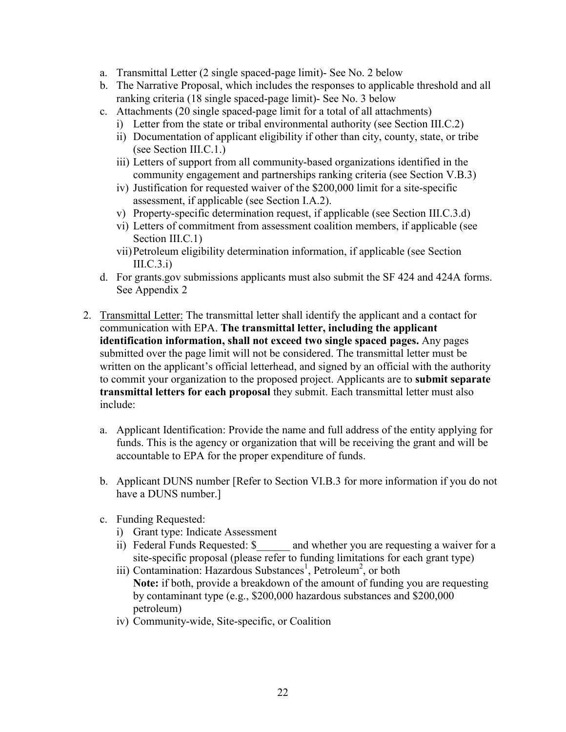- a. Transmittal Letter (2 single spaced-page limit)- See No. 2 below
- ranking criteria (18 single spaced-page limit)- See No. 3 below b. The Narrative Proposal, which includes the responses to applicable threshold and all
- c. Attachments (20 single spaced-page limit for a total of all attachments)
	- i) Letter from the state or tribal environmental authority (see Section III.C.2)
	- ii) Documentation of applicant eligibility if other than city, county, state, or tribe (see Section III.C.1.)
	- community engagement and partnerships ranking criteria (see Section V.B.3) iii) Letters of support from all community-based organizations identified in the
	- assessment, if applicable (see Section I.A.2). iv) Justification for requested waiver of the \$200,000 limit for a site-specific
	- v) Property-specific determination request, if applicable (see Section III.C.3.d)
	- vi) Letters of commitment from assessment coalition members, if applicable (see Section III.C.1)
	- vii)Petroleum eligibility determination information, if applicable (see Section  $III.C.3.i)$
- d. For grants.gov submissions applicants must also submit the SF 424 and 424A forms. See Appendix 2
- 2. Transmittal Letter: The transmittal letter shall identify the applicant and a contact for **identification information, shall not exceed two single spaced pages.** Any pages submitted over the page limit will not be considered. The transmittal letter must be  **transmittal letters for each proposal** they submit. Each transmittal letter must also communication with EPA. **The transmittal letter, including the applicant**  written on the applicant's official letterhead, and signed by an official with the authority to commit your organization to the proposed project. Applicants are to **submit separate**  include:
	- a. Applicant Identification: Provide the name and full address of the entity applying for funds. This is the agency or organization that will be receiving the grant and will be accountable to EPA for the proper expenditure of funds.
	- b. Applicant DUNS number [Refer to Section VI.B.3 for more information if you do not have a DUNS number.]
	- c. Funding Requested:
		- i) Grant type: Indicate Assessment
		- ii) Federal Funds Requested: \$ \_\_\_\_\_ and whether you are requesting a waiver for a site-specific proposal (please refer to funding limitations for each grant type)
		- **Note:** if both, provide a breakdown of the amount of funding you are requesting iii) Contamination: Hazardous Substances<sup>1</sup>, Petroleum<sup>2</sup>, or both by contaminant type (e.g., \$200,000 hazardous substances and \$200,000 petroleum)
		- iv) Community-wide, Site-specific, or Coalition<br>22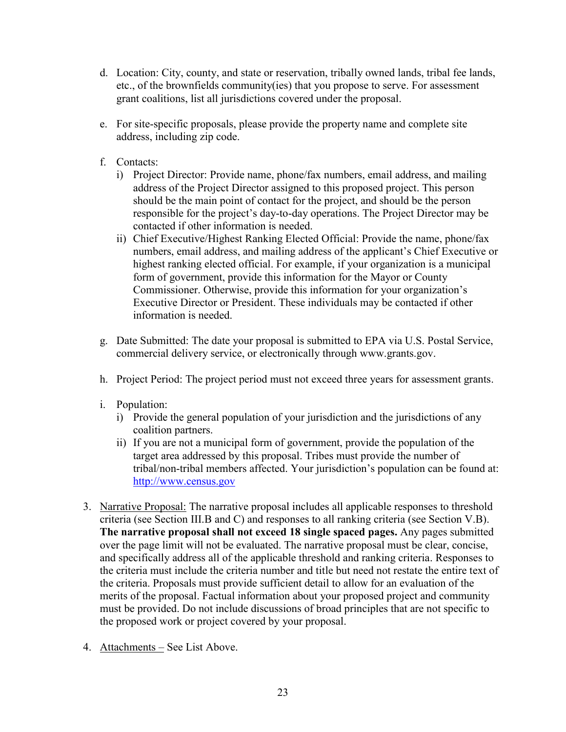- grant coalitions, list all jurisdictions covered under the proposal. d. Location: City, county, and state or reservation, tribally owned lands, tribal fee lands, etc., of the brownfields community(ies) that you propose to serve. For assessment
- e. For site-specific proposals, please provide the property name and complete site address, including zip code.
- f. Contacts:
	- responsible for the project's day-to-day operations. The Project Director may be i) Project Director: Provide name, phone/fax numbers, email address, and mailing address of the Project Director assigned to this proposed project. This person should be the main point of contact for the project, and should be the person contacted if other information is needed.
	- ii) Chief Executive/Highest Ranking Elected Official: Provide the name, phone/fax numbers, email address, and mailing address of the applicant's Chief Executive or highest ranking elected official. For example, if your organization is a municipal form of government, provide this information for the Mayor or County Commissioner. Otherwise, provide this information for your organization's Executive Director or President. These individuals may be contacted if other information is needed.
- g. Date Submitted: The date your proposal is submitted to EPA via U.S. Postal Service, commercial delivery service, or electronically through www.grants.gov.
- h. Project Period: The project period must not exceed three years for assessment grants.
- i. Population:
	- i) Provide the general population of your jurisdiction and the jurisdictions of any coalition partners.
	- ii) If you are not a municipal form of government, provide the population of the target area addressed by this proposal. Tribes must provide the number of tribal/non-tribal members affected. Your jurisdiction's population can be found at: [http://www.census.gov](http://www.census.gov/)
- 3. Narrative Proposal: The narrative proposal includes all applicable responses to threshold criteria (see Section III.B and C) and responses to all ranking criteria (see Section V.B). over the page limit will not be evaluated. The narrative proposal must be clear, concise, **The narrative proposal shall not exceed 18 single spaced pages.** Any pages submitted and specifically address all of the applicable threshold and ranking criteria. Responses to the criteria must include the criteria number and title but need not restate the entire text of the criteria. Proposals must provide sufficient detail to allow for an evaluation of the merits of the proposal. Factual information about your proposed project and community must be provided. Do not include discussions of broad principles that are not specific to the proposed work or project covered by your proposal.
- 4. Attachments See List Above.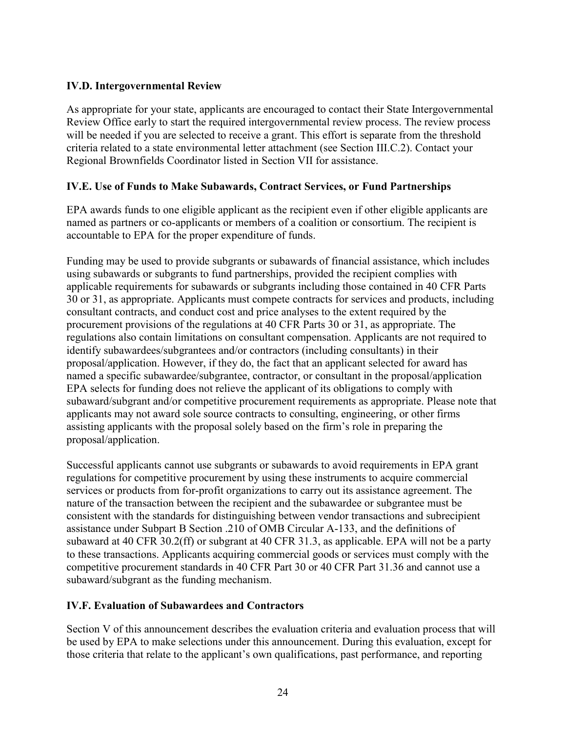## <span id="page-23-0"></span>**IV.D. Intergovernmental Review**

 criteria related to a state environmental letter attachment (see Section III.C.2). Contact your Regional Brownfields Coordinator listed in Section VII for assistance. As appropriate for your state, applicants are encouraged to contact their State Intergovernmental Review Office early to start the required intergovernmental review process. The review process will be needed if you are selected to receive a grant. This effort is separate from the threshold

## <span id="page-23-1"></span>**IV.E. Use of Funds to Make Subawards, Contract Services, or Fund Partnerships**

EPA awards funds to one eligible applicant as the recipient even if other eligible applicants are named as partners or co-applicants or members of a coalition or consortium. The recipient is accountable to EPA for the proper expenditure of funds.

Funding may be used to provide subgrants or subawards of financial assistance, which includes using subawards or subgrants to fund partnerships, provided the recipient complies with applicable requirements for subawards or subgrants including those contained in 40 [CFR](http://www.gpoaccess.gov/cfr/retrieve.html_) Parts 30 or 31, as appropriate. Applicants must compete contracts for services and products, including consultant contracts, and conduct cost and price analyses to the extent required by the procurement provisions of the regulations at 40 CFR Parts 30 or 31, as appropriate. The regulations also contain limitations on consultant compensation. Applicants are not required to identify subawardees/subgrantees and/or contractors (including consultants) in their proposal/application. However, if they do, the fact that an applicant selected for award has named a specific subawardee/subgrantee, contractor, or consultant in the proposal/application EPA selects for funding does not relieve the applicant of its obligations to comply with subaward/subgrant and/or competitive procurement requirements as appropriate. Please note that applicants may not award sole source contracts to consulting, engineering, or other firms assisting applicants with the proposal solely based on the firm's role in preparing the proposal/application.

 assistance under Subpart B Section .210 of [OMB Circular A-133,](http://www.whitehouse.gov/omb/circulars/a133/a133.html_) and the definitions of to these transactions. Applicants acquiring commercial goods or services must comply with the competitive procurement standards in 40 CFR Part 30 or 40 CFR Part 31.36 and cannot use a Successful applicants cannot use subgrants or subawards to avoid requirements in EPA grant regulations for competitive procurement by using these instruments to acquire commercial services or products from for-profit organizations to carry out its assistance agreement. The nature of the transaction between the recipient and the subawardee or subgrantee must be consistent with the standards for distinguishing between vendor transactions and subrecipient subaward at 40 CFR 30.2(ff) or subgrant at 40 CFR 31.3, as applicable. EPA will not be a party subaward/subgrant as the funding mechanism.

## <span id="page-23-2"></span>**IV.F. Evaluation of Subawardees and Contractors**

Section V of this announcement describes the evaluation criteria and evaluation process that will be used by EPA to make selections under this announcement. During this evaluation, except for those criteria that relate to the applicant's own qualifications, past performance, and reporting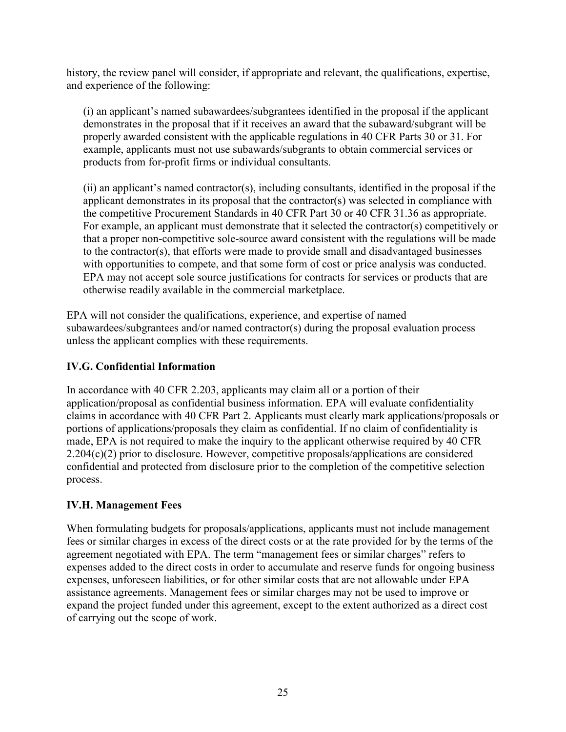history, the review panel will consider, if appropriate and relevant, the qualifications, expertise, and experience of the following:

(i) an applicant's named subawardees/subgrantees identified in the proposal if the applicant demonstrates in the proposal that if it receives an award that the subaward/subgrant will be properly awarded consistent with the applicable regulations in 40 CFR Parts 30 or 31. For example, applicants must not use subawards/subgrants to obtain commercial services or products from for-profit firms or individual consultants.

(ii) an applicant's named contractor(s), including consultants, identified in the proposal if the applicant demonstrates in its proposal that the contractor(s) was selected in compliance with the competitive Procurement Standards in 40 CFR Part 30 or 40 CFR 31.36 as appropriate. For example, an applicant must demonstrate that it selected the contractor(s) competitively or that a proper non-competitive sole-source award consistent with the regulations will be made to the contractor(s), that efforts were made to provide small and disadvantaged businesses with opportunities to compete, and that some form of cost or price analysis was conducted. EPA may not accept sole source justifications for contracts for services or products that are otherwise readily available in the commercial marketplace.

EPA will not consider the qualifications, experience, and expertise of named subawardees/subgrantees and/or named contractor(s) during the proposal evaluation process unless the applicant complies with these requirements.

## <span id="page-24-0"></span>**IV.G. Confidential Information**

 claims in accordance with 40 CFR Part 2. Applicants must clearly mark applications/proposals or made, EPA is not required to make the inquiry to the applicant otherwise required by 40 CFR In accordance with 40 CFR 2.203, applicants may claim all or a portion of their application/proposal as confidential business information. EPA will evaluate confidentiality portions of applications/proposals they claim as confidential. If no claim of confidentiality is 2.204(c)(2) prior to disclosure. However, competitive proposals/applications are considered confidential and protected from disclosure prior to the completion of the competitive selection process.

## <span id="page-24-1"></span>**IV.H. Management Fees**

 of carrying out the scope of work. When formulating budgets for proposals/applications, applicants must not include management fees or similar charges in excess of the direct costs or at the rate provided for by the terms of the agreement negotiated with EPA. The term "management fees or similar charges" refers to expenses added to the direct costs in order to accumulate and reserve funds for ongoing business expenses, unforeseen liabilities, or for other similar costs that are not allowable under EPA assistance agreements. Management fees or similar charges may not be used to improve or expand the project funded under this agreement, except to the extent authorized as a direct cost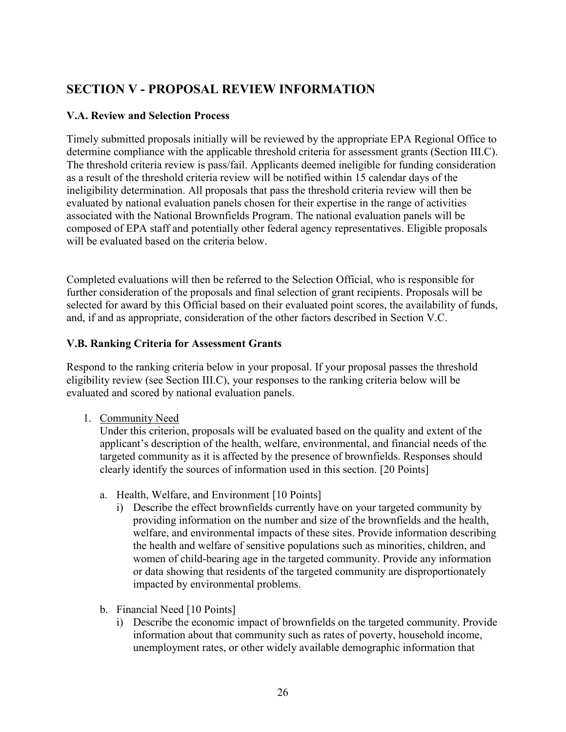# <span id="page-25-0"></span> **SECTION V - PROPOSAL REVIEW INFORMATION**

## <span id="page-25-1"></span>**V.A. Review and Selection Process**

 Timely submitted proposals initially will be reviewed by the appropriate EPA Regional Office to ineligibility determination. All proposals that pass the threshold criteria review will then be composed of EPA staff and potentially other federal agency representatives. Eligible proposals will be evaluated based on the criteria below. determine compliance with the applicable threshold criteria for assessment grants (Section III.C). The threshold criteria review is pass/fail. Applicants deemed ineligible for funding consideration as a result of the threshold criteria review will be notified within 15 calendar days of the evaluated by national evaluation panels chosen for their expertise in the range of activities associated with the National Brownfields Program. The national evaluation panels will be

Completed evaluations will then be referred to the Selection Official, who is responsible for further consideration of the proposals and final selection of grant recipients. Proposals will be selected for award by this Official based on their evaluated point scores, the availability of funds, and, if and as appropriate, consideration of the other factors described in Section V.C.

## <span id="page-25-2"></span>**V.B. Ranking Criteria for Assessment Grants**

 eligibility review (see Section III.C), your responses to the ranking criteria below will be evaluated and scored by national evaluation panels.<br>1. Community Need Respond to the ranking criteria below in your proposal. If your proposal passes the threshold

<span id="page-25-3"></span>

 Under this criterion, proposals will be evaluated based on the quality and extent of the targeted community as it is affected by the presence of brownfields. Responses should clearly identify the sources of information used in this section. [20 Points] applicant's description of the health, welfare, environmental, and financial needs of the

- a. Health, Welfare, and Environment [10 Points]
	- i) Describe the effect brownfields currently have on your targeted community by providing information on the number and size of the brownfields and the health, welfare, and environmental impacts of these sites. Provide information describing the health and welfare of sensitive populations such as minorities, children, and women of child-bearing age in the targeted community. Provide any information or data showing that residents of the targeted community are disproportionately impacted by environmental problems.
- b. Financial Need [10 Points]
	- i) Describe the economic impact of brownfields on the targeted community. Provide information about that community such as rates of poverty, household income, unemployment rates, or other widely available demographic information that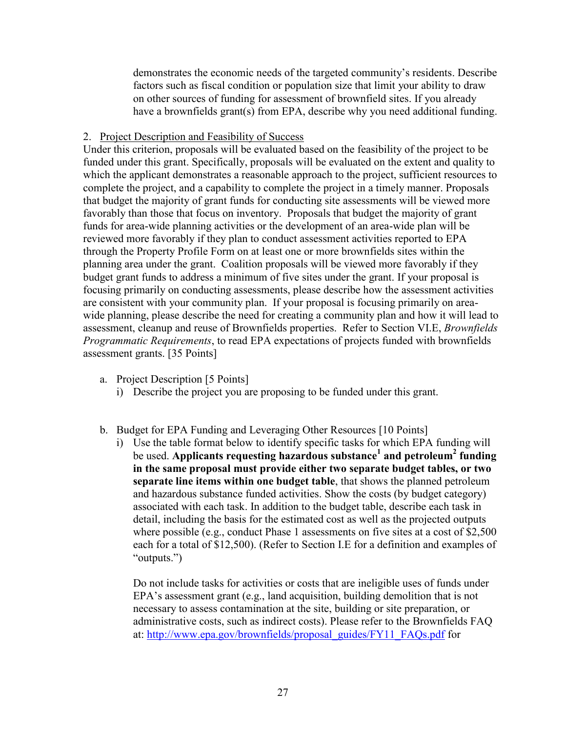demonstrates the economic needs of the targeted community's residents. Describe have a brownfields grant(s) from EPA, describe why you need additional funding. factors such as fiscal condition or population size that limit your ability to draw on other sources of funding for assessment of brownfield sites. If you already

#### <span id="page-26-0"></span>2. Project Description and Feasibility of Success

 Under this criterion, proposals will be evaluated based on the feasibility of the project to be wide planning, please describe the need for creating a community plan and how it will lead to assessment, cleanup and reuse of Brownfields properties. Refer to Section VI.E, *Brownfields*  funded under this grant. Specifically, proposals will be evaluated on the extent and quality to which the applicant demonstrates a reasonable approach to the project, sufficient resources to complete the project, and a capability to complete the project in a timely manner. Proposals that budget the majority of grant funds for conducting site assessments will be viewed more favorably than those that focus on inventory. Proposals that budget the majority of grant funds for area-wide planning activities or the development of an area-wide plan will be reviewed more favorably if they plan to conduct assessment activities reported to EPA through the Property Profile Form on at least one or more brownfields sites within the planning area under the grant. Coalition proposals will be viewed more favorably if they budget grant funds to address a minimum of five sites under the grant. If your proposal is focusing primarily on conducting assessments, please describe how the assessment activities are consistent with your community plan. If your proposal is focusing primarily on area-*Programmatic Requirements*, to read EPA expectations of projects funded with brownfields assessment grants. [35 Points]

- a. Project Description [5 Points]
	- i) Describe the project you are proposing to be funded under this grant.
- b. Budget for EPA Funding and Leveraging Other Resources [10 Points]
	- i) Use the table format below to identify specific tasks for which EPA funding will be used. **Applicants requesting hazardous substance1 and petroleum2 funding in the same proposal must provide either two separate budget tables, or two separate line items within one budget table**, that shows the planned petroleum and hazardous substance funded activities. Show the costs (by budget category) associated with each task. In addition to the budget table, describe each task in detail, including the basis for the estimated cost as well as the projected outputs where possible (e.g., conduct Phase 1 assessments on five sites at a cost of \$2,500 each for a total of \$12,500). (Refer to Section I.E for a definition and examples of "outputs.")

 administrative costs, such as indirect costs). Please refer to the Brownfields FAQ at: [http://www.epa.gov/brownfields/proposal\\_guides/FY11\\_FAQs.pdf](http://www.epa.gov/brownfields/proposal_guides/FY11_FAQs.pdf) for Do not include tasks for activities or costs that are ineligible uses of funds under EPA's assessment grant (e.g., land acquisition, building demolition that is not necessary to assess contamination at the site, building or site preparation, or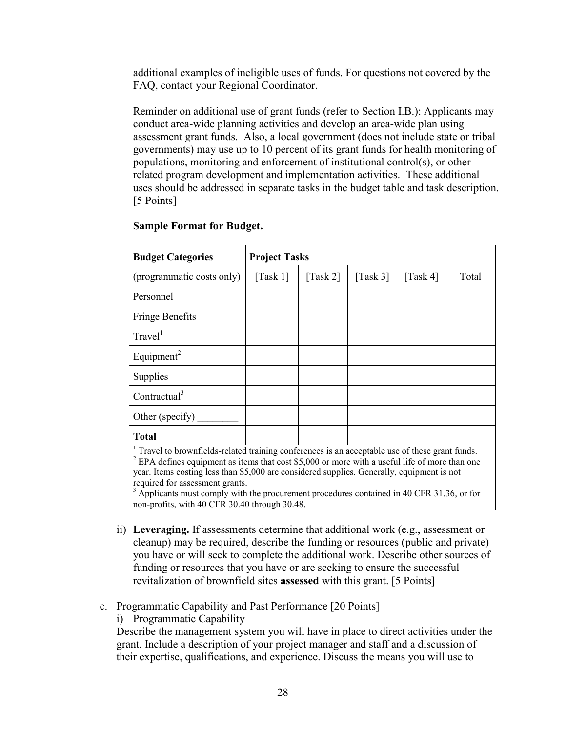additional examples of ineligible uses of funds. For questions not covered by the FAQ, contact your Regional Coordinator.

FAQ, contact your Regional Coordinator.<br>Reminder on additional use of grant funds (refer to Section I.B.): Applicants may conduct area-wide planning activities and develop an area-wide plan using related program development and implementation activities. These additional assessment grant funds. Also, a local government (does not include state or tribal governments) may use up to 10 percent of its grant funds for health monitoring of populations, monitoring and enforcement of institutional control(s), or other uses should be addressed in separate tasks in the budget table and task description. [5 Points]

| <b>Sample Format for Budget.</b>                                                                                                                                                                                                                                                                    |                                |          |                                |          |       |
|-----------------------------------------------------------------------------------------------------------------------------------------------------------------------------------------------------------------------------------------------------------------------------------------------------|--------------------------------|----------|--------------------------------|----------|-------|
| <b>Budget Categories</b>                                                                                                                                                                                                                                                                            | <b>Project Tasks</b>           |          |                                |          |       |
| (programmatic costs only)                                                                                                                                                                                                                                                                           | $\lceil \text{Task } 1 \rceil$ | [Task 2] | $\lceil \text{Task } 3 \rceil$ | [Task 4] | Total |
| Personnel                                                                                                                                                                                                                                                                                           |                                |          |                                |          |       |
| <b>Fringe Benefits</b>                                                                                                                                                                                                                                                                              |                                |          |                                |          |       |
| Travel <sup>1</sup>                                                                                                                                                                                                                                                                                 |                                |          |                                |          |       |
| Equipment <sup>2</sup>                                                                                                                                                                                                                                                                              |                                |          |                                |          |       |
| Supplies                                                                                                                                                                                                                                                                                            |                                |          |                                |          |       |
| Contractual <sup>3</sup>                                                                                                                                                                                                                                                                            |                                |          |                                |          |       |
| Other (specify)                                                                                                                                                                                                                                                                                     |                                |          |                                |          |       |
| <b>Total</b>                                                                                                                                                                                                                                                                                        |                                |          |                                |          |       |
| $1$ Travel to brownfields-related training conferences is an acceptable use of these grant funds.<br>$2$ EPA defines equipment as items that cost \$5,000 or more with a useful life of more than one<br>year. Items costing less than \$5,000 are considered supplies. Generally, equipment is not |                                |          |                                |          |       |

required for assessment grants.

 non-profits, with 40 CFR 30.40 through 30.48.  $3 \text{ Applications}$  Applicants must comply with the procurement procedures contained in 40 CFR 31.36, or for

- ii) **Leveraging.** If assessments determine that additional work (e.g., assessment or funding or resources that you have or are seeking to ensure the successful cleanup) may be required, describe the funding or resources (public and private) you have or will seek to complete the additional work. Describe other sources of revitalization of brownfield sites **assessed** with this grant. [5 Points]
- c. Programmatic Capability and Past Performance [20 Points]
	- i) Programmatic Capability

Describe the management system you will have in place to direct activities under the grant. Include a description of your project manager and staff and a discussion of their expertise, qualifications, and experience. Discuss the means you will use to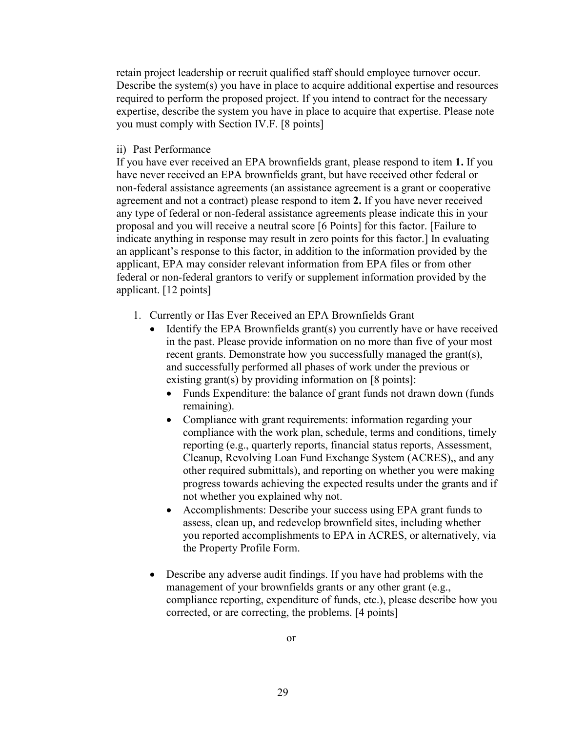retain project leadership or recruit qualified staff should employee turnover occur. Describe the system(s) you have in place to acquire additional expertise and resources you must comply with Section IV.F. [8 points] required to perform the proposed project. If you intend to contract for the necessary expertise, describe the system you have in place to acquire that expertise. Please note

ii) Past Performance

ii) Past Performance<br>If you have ever received an EPA brownfields grant, please respond to item 1. If you applicant. [12 points] have never received an EPA brownfields grant, but have received other federal or non-federal assistance agreements (an assistance agreement is a grant or cooperative agreement and not a contract) please respond to item **2.** If you have never received any type of federal or non-federal assistance agreements please indicate this in your proposal and you will receive a neutral score [6 Points] for this factor. [Failure to indicate anything in response may result in zero points for this factor.] In evaluating an applicant's response to this factor, in addition to the information provided by the applicant, EPA may consider relevant information from EPA files or from other federal or non-federal grantors to verify or supplement information provided by the

- 1. Currently or Has Ever Received an EPA Brownfields Grant
	- existing grant(s) by providing information on [8 points]:  $\bullet$  Identify the EPA Brownfields grant(s) you currently have or have received in the past. Please provide information on no more than five of your most recent grants. Demonstrate how you successfully managed the grant(s), and successfully performed all phases of work under the previous or
		- Funds Expenditure: the balance of grant funds not drawn down (funds remaining).
		- Compliance with grant requirements: information regarding your compliance with the work plan, schedule, terms and conditions, timely reporting (e.g., quarterly reports, financial status reports, Assessment, Cleanup, Revolving Loan Fund Exchange System (ACRES),, and any other required submittals), and reporting on whether you were making progress towards achieving the expected results under the grants and if not whether you explained why not.
		- Accomplishments: Describe your success using EPA grant funds to assess, clean up, and redevelop brownfield sites, including whether you reported accomplishments to EPA in ACRES, or alternatively, via the Property Profile Form.
	- Describe any adverse audit findings. If you have had problems with the management of your brownfields grants or any other grant (e.g., corrected, or are correcting, the problems. [4 points] compliance reporting, expenditure of funds, etc.), please describe how you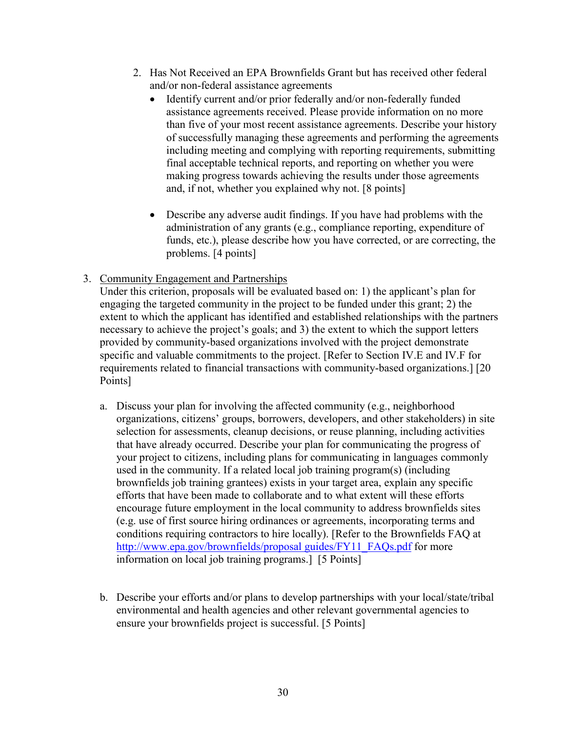- and/or non-federal assistance agreements 2. Has Not Received an EPA Brownfields Grant but has received other federal
	- Identify current and/or prior federally and/or non-federally funded than five of your most recent assistance agreements. Describe your history final acceptable technical reports, and reporting on whether you were and, if not, whether you explained why not. [8 points] assistance agreements received. Please provide information on no more of successfully managing these agreements and performing the agreements including meeting and complying with reporting requirements, submitting making progress towards achieving the results under those agreements
	- Describe any adverse audit findings. If you have had problems with the problems. [4 points] administration of any grants (e.g., compliance reporting, expenditure of funds, etc.), please describe how you have corrected, or are correcting, the
- <span id="page-29-0"></span>3. Community Engagement and Partnerships

 Under this criterion, proposals will be evaluated based on: 1) the applicant's plan for engaging the targeted community in the project to be funded under this grant; 2) the extent to which the applicant has identified and established relationships with the partners necessary to achieve the project's goals; and 3) the extent to which the support letters provided by community-based organizations involved with the project demonstrate specific and valuable commitments to the project. [Refer to Section IV.E and IV.F for requirements related to financial transactions with community-based organizations.] [20 Points]

- [http://www.epa.gov/brownfields/proposal guides/FY11\\_FAQs.pdf](http://www.epa.gov/brownfields/proposal%20guides/FY11_FAQs.pdf) for more information on local job training programs.] [5 Points] a. Discuss your plan for involving the affected community (e.g., neighborhood organizations, citizens' groups, borrowers, developers, and other stakeholders) in site selection for assessments, cleanup decisions, or reuse planning, including activities that have already occurred. Describe your plan for communicating the progress of your project to citizens, including plans for communicating in languages commonly used in the community. If a related local job training program(s) (including brownfields job training grantees) exists in your target area, explain any specific efforts that have been made to collaborate and to what extent will these efforts encourage future employment in the local community to address brownfields sites (e.g. use of first source hiring ordinances or agreements, incorporating terms and conditions requiring contractors to hire locally). [Refer to the Brownfields FAQ at
- environmental and health agencies and other relevant governmental agencies to b. Describe your efforts and/or plans to develop partnerships with your local/state/tribal ensure your brownfields project is successful. [5 Points]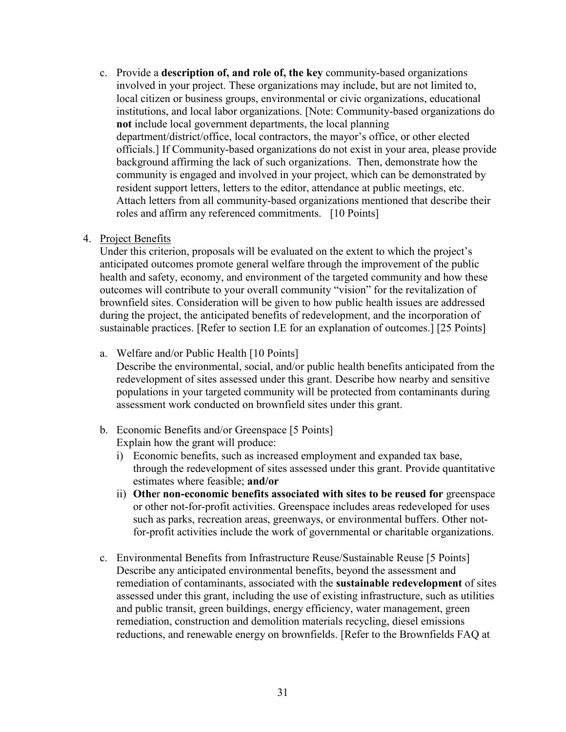c. Provide a **description of, and role of, the key** community-based organizations resident support letters, letters to the editor, attendance at public meetings, etc. roles and affirm any referenced commitments. [10 Points] involved in your project. These organizations may include, but are not limited to, local citizen or business groups, environmental or civic organizations, educational institutions, and local labor organizations. [Note: Community-based organizations do **not** include local government departments, the local planning department/district/office, local contractors, the mayor's office, or other elected officials.] If Community-based organizations do not exist in your area, please provide background affirming the lack of such organizations. Then, demonstrate how the community is engaged and involved in your project, which can be demonstrated by Attach letters from all community-based organizations mentioned that describe their

#### <span id="page-30-0"></span>4. Project Benefits

 Under this criterion, proposals will be evaluated on the extent to which the project's anticipated outcomes promote general welfare through the improvement of the public health and safety, economy, and environment of the targeted community and how these outcomes will contribute to your overall community "vision" for the revitalization of sustainable practices. [Refer to section I.E for an explanation of outcomes.] [25 Points] brownfield sites. Consideration will be given to how public health issues are addressed during the project, the anticipated benefits of redevelopment, and the incorporation of

a. Welfare and/or Public Health [10 Points]

Describe the environmental, social, and/or public health benefits anticipated from the redevelopment of sites assessed under this grant. Describe how nearby and sensitive populations in your targeted community will be protected from contaminants during assessment work conducted on brownfield sites under this grant.

- b. Economic Benefits and/or Greenspace [5 Points] Explain how the grant will produce:
	- i) Economic benefits, such as increased employment and expanded tax base, through the redevelopment of sites assessed under this grant. Provide quantitative estimates where feasible; **and/or**
	- ii) **Othe**r **non-economic benefits associated with sites to be reused for** greenspace or other not-for-profit activities. Greenspace includes areas redeveloped for uses such as parks, recreation areas, greenways, or environmental buffers. Other notfor-profit activities include the work of governmental or charitable organizations.
- c. Environmental Benefits from Infrastructure Reuse/Sustainable Reuse [5 Points] Describe any anticipated environmental benefits, beyond the assessment and remediation of contaminants, associated with the **sustainable redevelopment** of sites assessed under this grant, including the use of existing infrastructure, such as utilities and public transit, green buildings, energy efficiency, water management, green remediation, construction and demolition materials recycling, diesel emissions reductions, and renewable energy on brownfields. [Refer to the Brownfields FAQ at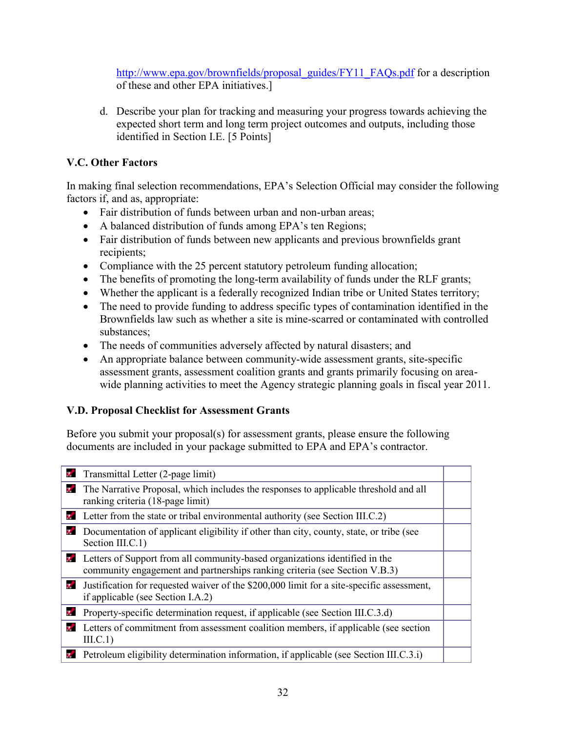[http://www.epa.gov/brownfields/proposal\\_guides/FY11\\_FAQs.pdf](http://www.epa.gov/brownfields/proposal_guides/FY11_FAQs.pdf) for a description of these and other EPA initiatives.]

d. Describe your plan for tracking and measuring your progress towards achieving the expected short term and long term project outcomes and outputs, including those identified in Section I.E. [5 Points]

## <span id="page-31-0"></span> **V.C. Other Factors**

In making final selection recommendations, EPA's Selection Official may consider the following factors if, and as, appropriate:

- Fair distribution of funds between urban and non-urban areas;
- A balanced distribution of funds among EPA's ten Regions;
- Fair distribution of funds between new applicants and previous brownfields grant recipients;
- Compliance with the 25 percent statutory petroleum funding allocation;
- The benefits of promoting the long-term availability of funds under the RLF grants;
- Whether the applicant is a federally recognized Indian tribe or United States territory;
- The need to provide funding to address specific types of contamination identified in the Brownfields law such as whether a site is mine-scarred or contaminated with controlled substances;
- The needs of communities adversely affected by natural disasters; and
- An appropriate balance between community-wide assessment grants, site-specific assessment grants, assessment coalition grants and grants primarily focusing on areawide planning activities to meet the Agency strategic planning goals in fiscal year 2011.

## <span id="page-31-1"></span>**V.D. Proposal Checklist for Assessment Grants**

 Before you submit your proposal(s) for assessment grants, please ensure the following documents are included in your package submitted to EPA and EPA's contractor.

| v.       | Transmittal Letter (2-page limit)                                                                                                                                |  |
|----------|------------------------------------------------------------------------------------------------------------------------------------------------------------------|--|
| v.       | The Narrative Proposal, which includes the responses to applicable threshold and all<br>ranking criteria (18-page limit)                                         |  |
| 34       | Letter from the state or tribal environmental authority (see Section III.C.2)                                                                                    |  |
| V.       | Documentation of applicant eligibility if other than city, county, state, or tribe (see<br>Section III.C.1)                                                      |  |
|          | <b>Letters of Support from all community-based organizations identified in the</b><br>community engagement and partnerships ranking criteria (see Section V.B.3) |  |
| <b>V</b> | Justification for requested waiver of the \$200,000 limit for a site-specific assessment,<br>if applicable (see Section I.A.2)                                   |  |
| ν.       | Property-specific determination request, if applicable (see Section III.C.3.d)                                                                                   |  |
| 7.       | Letters of commitment from assessment coalition members, if applicable (see section<br>III.C.1)                                                                  |  |
|          | <b>E</b> Petroleum eligibility determination information, if applicable (see Section III.C.3.i)                                                                  |  |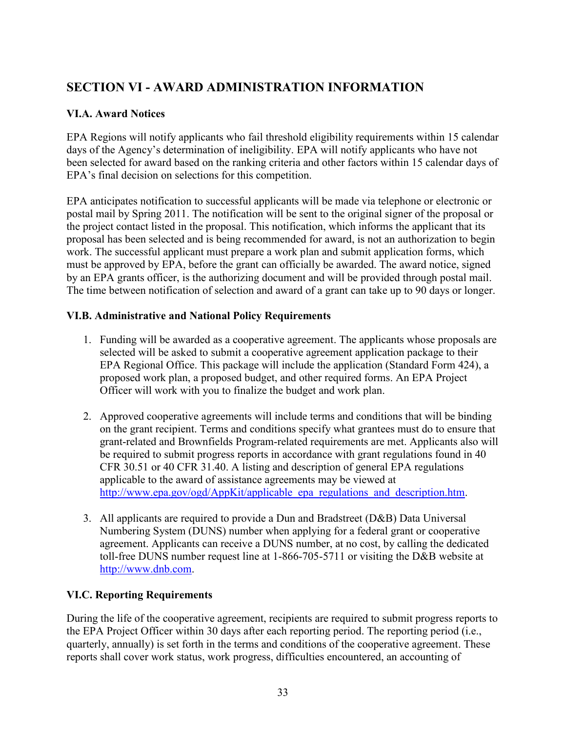# <span id="page-32-0"></span> **SECTION VI - AWARD ADMINISTRATION INFORMATION**

## <span id="page-32-1"></span>**VI.A. Award Notices**

EPA Regions will notify applicants who fail threshold eligibility requirements within 15 calendar days of the Agency's determination of ineligibility. EPA will notify applicants who have not been selected for award based on the ranking criteria and other factors within 15 calendar days of EPA's final decision on selections for this competition.

 postal mail by Spring 2011. The notification will be sent to the original signer of the proposal or The time between notification of selection and award of a grant can take up to 90 days or longer. EPA anticipates notification to successful applicants will be made via telephone or electronic or the project contact listed in the proposal. This notification, which informs the applicant that its proposal has been selected and is being recommended for award, is not an authorization to begin work. The successful applicant must prepare a work plan and submit application forms, which must be approved by EPA, before the grant can officially be awarded. The award notice, signed by an EPA grants officer, is the authorizing document and will be provided through postal mail.

## <span id="page-32-2"></span>**VI.B. Administrative and National Policy Requirements**

- 1. Funding will be awarded as a cooperative agreement. The applicants whose proposals are selected will be asked to submit a cooperative agreement application package to their EPA Regional Office. This package will include the application (Standard Form 424), a proposed work plan, a proposed budget, and other required forms. An EPA Project Officer will work with you to finalize the budget and work plan.
- 2. Approved cooperative agreements will include terms and conditions that will be binding on the grant recipient. Terms and conditions specify what grantees must do to ensure that grant-related and Brownfields Program-related requirements are met. Applicants also will be required to submit progress reports in accordance with grant regulations found in 40 CFR 30.51 or 40 CFR 31.40. A listing and description of general EPA regulations applicable to the award of assistance agreements may be viewed at http://www.epa.gov/ogd/AppKit/applicable epa\_regulations\_and\_description.htm.
- http://www.dnb.com. 3. All applicants are required to provide a Dun and Bradstreet (D&B) Data Universal Numbering System (DUNS) number when applying for a federal grant or cooperative agreement. Applicants can receive a DUNS number, at no cost, by calling the dedicated toll-free DUNS number request line at 1-866-705-5711 or visiting the D&B website at

## <span id="page-32-3"></span>**VI.C. Reporting Requirements**

During the life of the cooperative agreement, recipients are required to submit progress reports to the EPA Project Officer within 30 days after each reporting period. The reporting period (i.e., quarterly, annually) is set forth in the terms and conditions of the cooperative agreement. These reports shall cover work status, work progress, difficulties encountered, an accounting of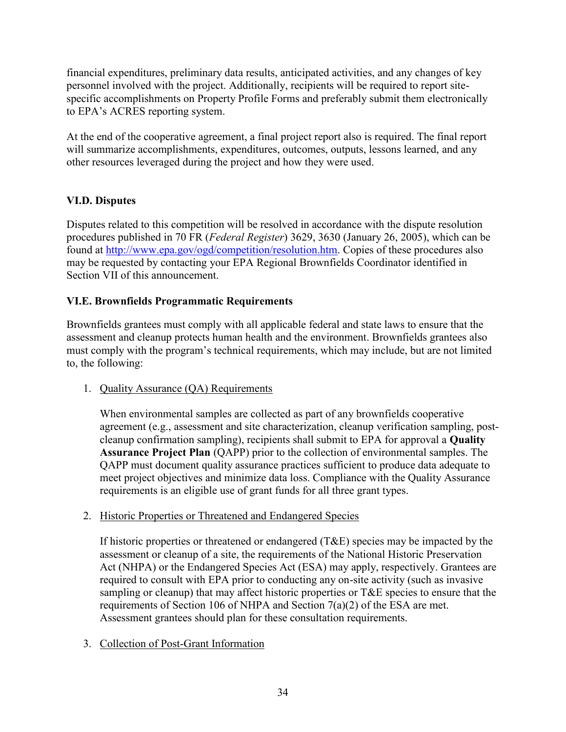financial expenditures, preliminary data results, anticipated activities, and any changes of key personnel involved with the project. Additionally, recipients will be required to report sitespecific accomplishments on Property Profile Forms and preferably submit them electronically to EPA's ACRES reporting system.

 other resources leveraged during the project and how they were used. At the end of the cooperative agreement, a final project report also is required. The final report will summarize accomplishments, expenditures, outcomes, outputs, lessons learned, and any

## <span id="page-33-0"></span>**VI.D. Disputes**

Disputes related to this competition will be resolved in accordance with the dispute resolution procedures published in 70 FR (*Federal Register*) 3629, 3630 (January 26, 2005), which can be found at [http://www.epa.gov/ogd/competition/resolution.htm.](http://www.epa.gov/ogd/competition/resolution.htm) Copies of these procedures also may be requested by contacting your EPA Regional Brownfields Coordinator identified in Section VII of this announcement.

## <span id="page-33-1"></span>**VI.E. Brownfields Programmatic Requirements**

 must comply with the program's technical requirements, which may include, but are not limited Brownfields grantees must comply with all applicable federal and state laws to ensure that the assessment and cleanup protects human health and the environment. Brownfields grantees also to, the following:

## 1. Quality Assurance (QA) Requirements

 When environmental samples are collected as part of any brownfields cooperative agreement (e.g., assessment and site characterization, cleanup verification sampling, postcleanup confirmation sampling), recipients shall submit to EPA for approval a **Quality Assurance Project Plan** (QAPP) prior to the collection of environmental samples. The QAPP must document quality assurance practices sufficient to produce data adequate to meet project objectives and minimize data loss. Compliance with the Quality Assurance requirements is an eligible use of grant funds for all three grant types.

## 2. Historic Properties or Threatened and Endangered Species

If historic properties or threatened or endangered (T&E) species may be impacted by the assessment or cleanup of a site, the requirements of the National Historic Preservation Act (NHPA) or the Endangered Species Act (ESA) may apply, respectively. Grantees are required to consult with EPA prior to conducting any on-site activity (such as invasive sampling or cleanup) that may affect historic properties or T&E species to ensure that the requirements of Section 106 of NHPA and Section 7(a)(2) of the ESA are met. Assessment grantees should plan for these consultation requirements.

## 3. Collection of Post-Grant Information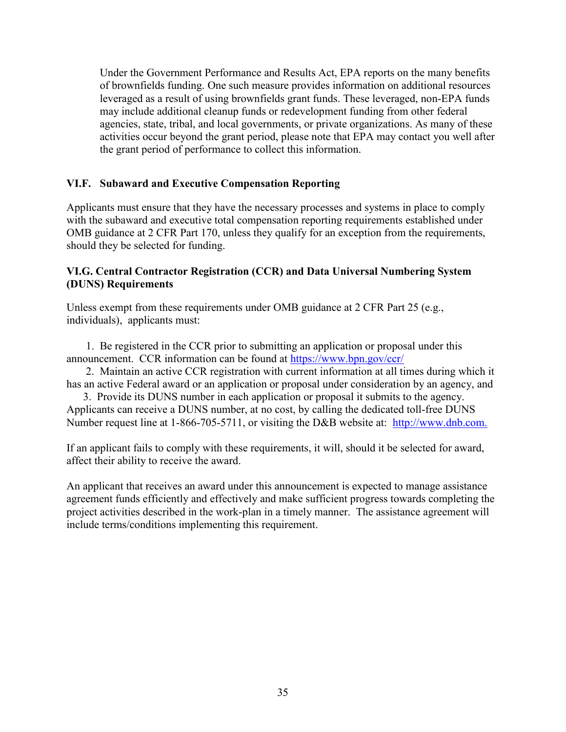activities occur beyond the grant period, please note that EPA may contact you well after Under the Government Performance and Results Act, EPA reports on the many benefits of brownfields funding. One such measure provides information on additional resources leveraged as a result of using brownfields grant funds. These leveraged, non-EPA funds may include additional cleanup funds or redevelopment funding from other federal agencies, state, tribal, and local governments, or private organizations. As many of these the grant period of performance to collect this information.

## <span id="page-34-0"></span>**VI.F. Subaward and Executive Compensation Reporting**

Applicants must ensure that they have the necessary processes and systems in place to comply with the subaward and executive total compensation reporting requirements established under OMB guidance at 2 CFR Part 170, unless they qualify for an exception from the requirements, should they be selected for funding.

#### <span id="page-34-1"></span>**VI.G. Central Contractor Registration (CCR) and Data Universal Numbering System (DUNS) Requirements**

individuals), applicants must: Unless exempt from these requirements under OMB guidance at 2 CFR Part 25 (e.g.,

announcement. CCR information can be found at https://www.bpn.gov/ccr/ 1. Be registered in the CCR prior to submitting an application or proposal under this

2. Maintain an active CCR registration with current information at all times during which it has an active Federal award or an application or proposal under consideration by an agency, and

Number request line at 1-866-705-5711, or visiting the D&B website at: http://www.dnb.com. 3. Provide its DUNS number in each application or proposal it submits to the agency. Applicants can receive a DUNS number, at no cost, by calling the dedicated toll-free DUNS

If an applicant fails to comply with these requirements, it will, should it be selected for award, affect their ability to receive the award.

 project activities described in the work-plan in a timely manner. The assistance agreement will include terms/conditions implementing this requirement. An applicant that receives an award under this announcement is expected to manage assistance agreement funds efficiently and effectively and make sufficient progress towards completing the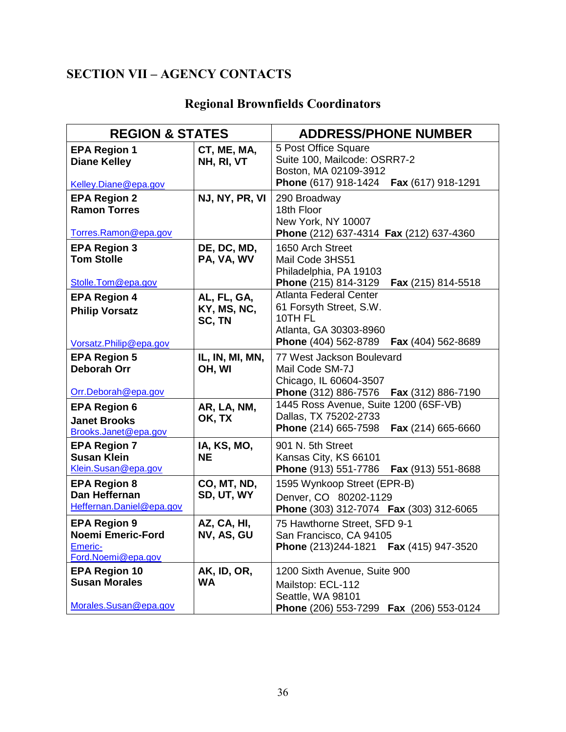# <span id="page-35-0"></span> **SECTION VII – AGENCY CONTACTS**

<span id="page-35-1"></span>

|  | <b>Regional Brownfields Coordinators</b> |
|--|------------------------------------------|
|  |                                          |

| <b>REGION &amp; STATES</b>                                                       | <b>ADDRESS/PHONE NUMBER</b>          |                                                                                                                                             |
|----------------------------------------------------------------------------------|--------------------------------------|---------------------------------------------------------------------------------------------------------------------------------------------|
| <b>EPA Region 1</b><br><b>Diane Kelley</b><br>Kelley.Diane@epa.gov               | CT, ME, MA,<br>NH, RI, VT            | 5 Post Office Square<br>Suite 100, Mailcode: OSRR7-2<br>Boston, MA 02109-3912<br><b>Phone</b> (617) 918-1424<br>Fax (617) 918-1291          |
| <b>EPA Region 2</b><br><b>Ramon Torres</b><br>Torres.Ramon@epa.gov               | NJ, NY, PR, VI                       | 290 Broadway<br>18th Floor<br>New York, NY 10007<br>Phone (212) 637-4314 Fax (212) 637-4360                                                 |
| <b>EPA Region 3</b><br><b>Tom Stolle</b><br>Stolle.Tom@epa.gov                   | DE, DC, MD,<br>PA, VA, WV            | 1650 Arch Street<br>Mail Code 3HS51<br>Philadelphia, PA 19103<br>Phone (215) 814-3129<br>Fax (215) 814-5518                                 |
| <b>EPA Region 4</b><br><b>Philip Vorsatz</b><br>Vorsatz.Philip@epa.gov           | AL, FL, GA,<br>KY, MS, NC,<br>SC, TN | <b>Atlanta Federal Center</b><br>61 Forsyth Street, S.W.<br>10TH FL<br>Atlanta, GA 30303-8960<br>Phone (404) 562-8789<br>Fax (404) 562-8689 |
| <b>EPA Region 5</b><br><b>Deborah Orr</b><br>Orr.Deborah@epa.gov                 | IL, IN, MI, MN,<br>OH, WI            | 77 West Jackson Boulevard<br>Mail Code SM-7J<br>Chicago, IL 60604-3507<br>Phone (312) 886-7576<br>Fax (312) 886-7190                        |
| <b>EPA Region 6</b><br><b>Janet Brooks</b><br>Brooks.Janet@epa.gov               | AR, LA, NM,<br>OK, TX                | 1445 Ross Avenue, Suite 1200 (6SF-VB)<br>Dallas, TX 75202-2733<br>Phone (214) 665-7598<br>Fax (214) 665-6660                                |
| <b>EPA Region 7</b><br><b>Susan Klein</b><br>Klein.Susan@epa.gov                 | IA, KS, MO,<br><b>NE</b>             | 901 N. 5th Street<br>Kansas City, KS 66101<br>Phone (913) 551-7786<br><b>Fax</b> (913) 551-8688                                             |
| <b>EPA Region 8</b><br>Dan Heffernan<br>Heffernan.Daniel@epa.gov                 | CO, MT, ND,<br>SD, UT, WY            | 1595 Wynkoop Street (EPR-B)<br>Denver, CO 80202-1129<br>Phone (303) 312-7074  Fax (303) 312-6065                                            |
| <b>EPA Region 9</b><br><b>Noemi Emeric-Ford</b><br>Emeric-<br>Ford.Noemi@epa.gov | AZ, CA, HI,<br>NV, AS, GU            | 75 Hawthorne Street, SFD 9-1<br>San Francisco, CA 94105<br>Phone (213)244-1821<br>Fax (415) 947-3520                                        |
| <b>EPA Region 10</b><br><b>Susan Morales</b><br>Morales.Susan@epa.gov            | AK, ID, OR,<br><b>WA</b>             | 1200 Sixth Avenue, Suite 900<br>Mailstop: ECL-112<br>Seattle, WA 98101<br>Phone (206) 553-7299<br><b>Fax</b> (206) 553-0124                 |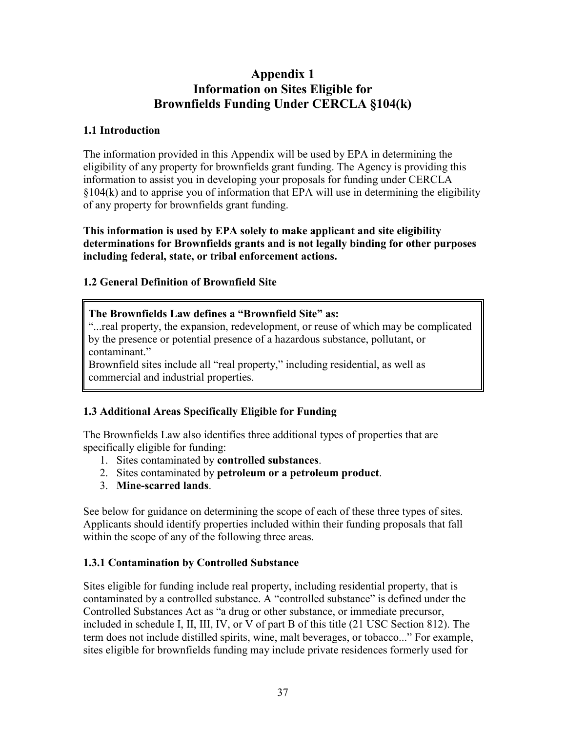# **Appendix 1 Information on Sites Eligible for Brownfields Funding Under CERCLA §104(k)**

## <span id="page-36-0"></span>**1.1 Introduction**

The information provided in this Appendix will be used by EPA in determining the eligibility of any property for brownfields grant funding. The Agency is providing this information to assist you in developing your proposals for funding under CERCLA §104(k) and to apprise you of information that EPA will use in determining the eligibility of any property for brownfields grant funding.

**This information is used by EPA solely to make applicant and site eligibility determinations for Brownfields grants and is not legally binding for other purposes including federal, state, or tribal enforcement actions.** 

## **1.2 General Definition of Brownfield Site**

## **The Brownfields Law defines a "Brownfield Site" as:**

"...real property, the expansion, redevelopment, or reuse of which may be complicated by the presence or potential presence of a hazardous substance, pollutant, or contaminant."

Brownfield sites include all "real property," including residential, as well as commercial and industrial properties.

## **1.3 Additional Areas Specifically Eligible for Funding**

 specifically eligible for funding: The Brownfields Law also identifies three additional types of properties that are

- 1. Sites contaminated by **controlled substances**.
- 2. Sites contaminated by **petroleum or a petroleum product**.
- 3. **Mine-scarred lands**.

 within the scope of any of the following three areas. See below for guidance on determining the scope of each of these three types of sites. Applicants should identify properties included within their funding proposals that fall

## **1.3.1 Contamination by Controlled Substance**

 sites eligible for brownfields funding may include private residences formerly used for Sites eligible for funding include real property, including residential property, that is contaminated by a controlled substance. A "controlled substance" is defined under the Controlled Substances Act as "a drug or other substance, or immediate precursor, included in schedule I, II, III, IV, or V of part B of this title (21 USC Section 812). The term does not include distilled spirits, wine, malt beverages, or tobacco..." For example,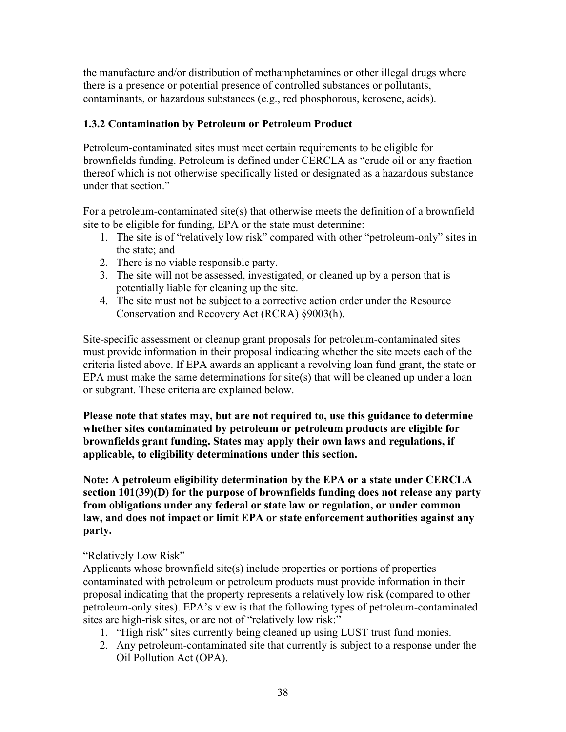the manufacture and/or distribution of methamphetamines or other illegal drugs where there is a presence or potential presence of controlled substances or pollutants, contaminants, or hazardous substances (e.g., red phosphorous, kerosene, acids).

## **1.3.2 Contamination by Petroleum or Petroleum Product**

Petroleum-contaminated sites must meet certain requirements to be eligible for brownfields funding. Petroleum is defined under CERCLA as "crude oil or any fraction thereof which is not otherwise specifically listed or designated as a hazardous substance under that section."

For a petroleum-contaminated site(s) that otherwise meets the definition of a brownfield site to be eligible for funding, EPA or the state must determine:

- 1. The site is of "relatively low risk" compared with other "petroleum-only" sites in the state; and
- 2. There is no viable responsible party.
- 3. The site will not be assessed, investigated, or cleaned up by a person that is potentially liable for cleaning up the site.
- 4. The site must not be subject to a corrective action order under the Resource Conservation and Recovery Act (RCRA) §9003(h).

Site-specific assessment or cleanup grant proposals for petroleum-contaminated sites must provide information in their proposal indicating whether the site meets each of the criteria listed above. If EPA awards an applicant a revolving loan fund grant, the state or EPA must make the same determinations for site(s) that will be cleaned up under a loan or subgrant. These criteria are explained below.

 **whether sites contaminated by petroleum or petroleum products are eligible for Please note that states may, but are not required to, use this guidance to determine brownfields grant funding. States may apply their own laws and regulations, if applicable, to eligibility determinations under this section.** 

**Note: A petroleum eligibility determination by the EPA or a state under CERCLA section 101(39)(D) for the purpose of brownfields funding does not release any party from obligations under any federal or state law or regulation, or under common law, and does not impact or limit EPA or state enforcement authorities against any party.** 

"Relatively Low Risk"

Applicants whose brownfield site(s) include properties or portions of properties contaminated with petroleum or petroleum products must provide information in their proposal indicating that the property represents a relatively low risk (compared to other petroleum-only sites). EPA's view is that the following types of petroleum-contaminated sites are high-risk sites, or are not of "relatively low risk:"

- 1. "High risk" sites currently being cleaned up using LUST trust fund monies.
- 2. Any petroleum-contaminated site that currently is subject to a response under the Oil Pollution Act (OPA).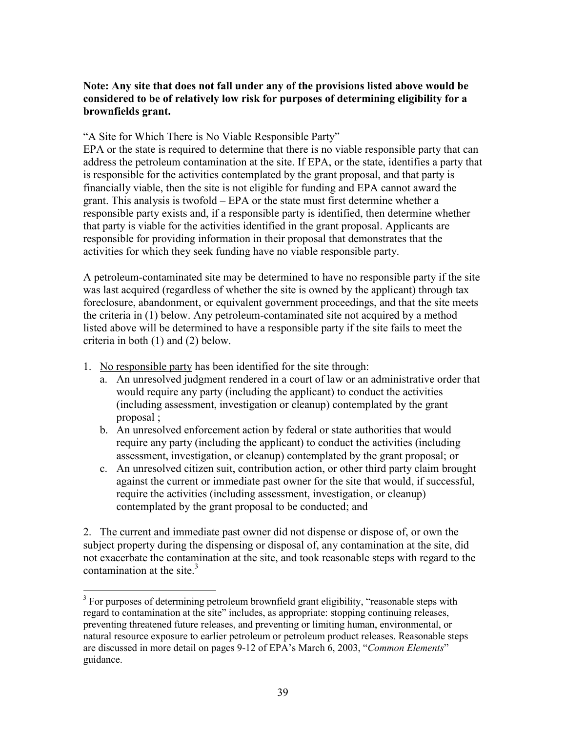## **Note: Any site that does not fall under any of the provisions listed above would be considered to be of relatively low risk for purposes of determining eligibility for a brownfields grant.**

#### "A Site for Which There is No Viable Responsible Party"

 responsible for providing information in their proposal that demonstrates that the activities for which they seek funding have no viable responsible party. EPA or the state is required to determine that there is no viable responsible party that can address the petroleum contamination at the site. If EPA, or the state, identifies a party that is responsible for the activities contemplated by the grant proposal, and that party is financially viable, then the site is not eligible for funding and EPA cannot award the grant. This analysis is twofold – EPA or the state must first determine whether a responsible party exists and, if a responsible party is identified, then determine whether that party is viable for the activities identified in the grant proposal. Applicants are

 listed above will be determined to have a responsible party if the site fails to meet the A petroleum-contaminated site may be determined to have no responsible party if the site was last acquired (regardless of whether the site is owned by the applicant) through tax foreclosure, abandonment, or equivalent government proceedings, and that the site meets the criteria in (1) below. Any petroleum-contaminated site not acquired by a method criteria in both (1) and (2) below.

1. No responsible party has been identified for the site through:

 $\overline{a}$ 

- proposal: a. An unresolved judgment rendered in a court of law or an administrative order that would require any party (including the applicant) to conduct the activities (including assessment, investigation or cleanup) contemplated by the grant
- assessment, investigation, or cleanup) contemplated by the grant proposal; or b. An unresolved enforcement action by federal or state authorities that would require any party (including the applicant) to conduct the activities (including
- contemplated by the grant proposal to be conducted; and c. An unresolved citizen suit, contribution action, or other third party claim brought against the current or immediate past owner for the site that would, if successful, require the activities (including assessment, investigation, or cleanup)

2. The current and immediate past owner did not dispense or dispose of, or own the subject property during the dispensing or disposal of, any contamination at the site, did not exacerbate the contamination at the site, and took reasonable steps with regard to the contamination at the site. $3$ 

 $3$  For purposes of determining petroleum brownfield grant eligibility, "reasonable steps with regard to contamination at the site" includes, as appropriate: stopping continuing releases, preventing threatened future releases, and preventing or limiting human, environmental, or natural resource exposure to earlier petroleum or petroleum product releases. Reasonable steps are discussed in more detail on pages 9-12 of EPA's March 6, 2003, "*Common Elements*" guidance.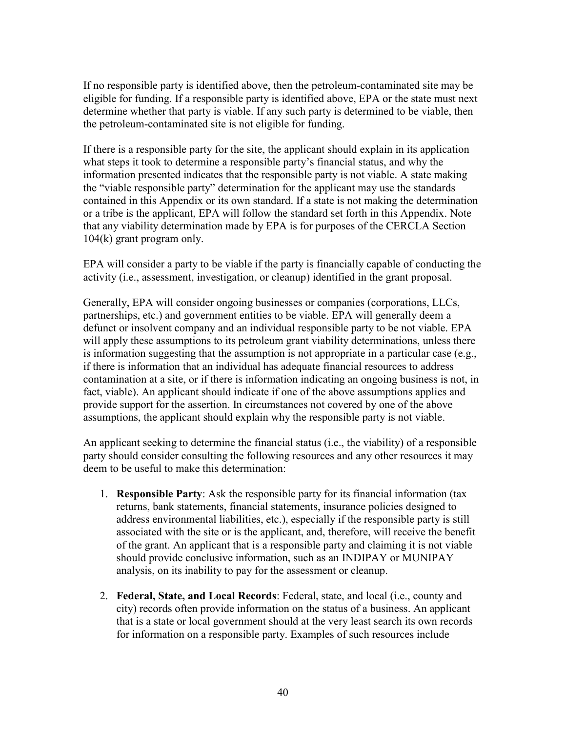the petroleum-contaminated site is not eligible for funding. If no responsible party is identified above, then the petroleum-contaminated site may be eligible for funding. If a responsible party is identified above, EPA or the state must next determine whether that party is viable. If any such party is determined to be viable, then

 $104(k)$  grant program only. If there is a responsible party for the site, the applicant should explain in its application what steps it took to determine a responsible party's financial status, and why the information presented indicates that the responsible party is not viable. A state making the "viable responsible party" determination for the applicant may use the standards contained in this Appendix or its own standard. If a state is not making the determination or a tribe is the applicant, EPA will follow the standard set forth in this Appendix. Note that any viability determination made by EPA is for purposes of the CERCLA Section

104(k) grant program only.<br>EPA will consider a party to be viable if the party is financially capable of conducting the activity (i.e., assessment, investigation, or cleanup) identified in the grant proposal.

 partnerships, etc.) and government entities to be viable. EPA will generally deem a Generally, EPA will consider ongoing businesses or companies (corporations, LLCs, defunct or insolvent company and an individual responsible party to be not viable. EPA will apply these assumptions to its petroleum grant viability determinations, unless there is information suggesting that the assumption is not appropriate in a particular case (e.g., if there is information that an individual has adequate financial resources to address contamination at a site, or if there is information indicating an ongoing business is not, in fact, viable). An applicant should indicate if one of the above assumptions applies and provide support for the assertion. In circumstances not covered by one of the above assumptions, the applicant should explain why the responsible party is not viable.

 party should consider consulting the following resources and any other resources it may An applicant seeking to determine the financial status (i.e., the viability) of a responsible deem to be useful to make this determination:

- associated with the site or is the applicant, and, therefore, will receive the benefit 1. **Responsible Party**: Ask the responsible party for its financial information (tax returns, bank statements, financial statements, insurance policies designed to address environmental liabilities, etc.), especially if the responsible party is still of the grant. An applicant that is a responsible party and claiming it is not viable should provide conclusive information, such as an INDIPAY or MUNIPAY analysis, on its inability to pay for the assessment or cleanup.
- 2. **Federal, State, and Local Records**: Federal, state, and local (i.e., county and city) records often provide information on the status of a business. An applicant that is a state or local government should at the very least search its own records for information on a responsible party. Examples of such resources include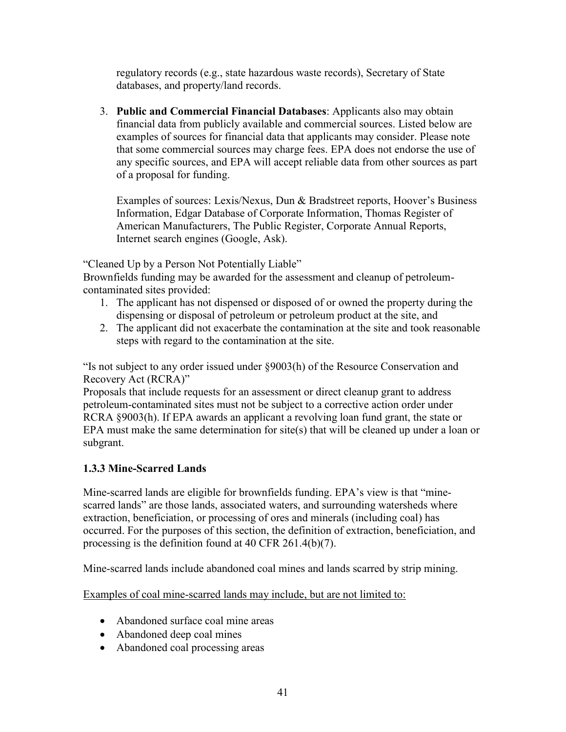regulatory records (e.g., state hazardous waste records), Secretary of State databases, and property/land records.

 that some commercial sources may charge fees. EPA does not endorse the use of 3. **Public and Commercial Financial Databases**: Applicants also may obtain financial data from publicly available and commercial sources. Listed below are examples of sources for financial data that applicants may consider. Please note any specific sources, and EPA will accept reliable data from other sources as part of a proposal for funding.

 Internet search engines (Google, Ask). Examples of sources: Lexis/Nexus, Dun & Bradstreet reports, Hoover's Business Information, Edgar Database of Corporate Information, Thomas Register of American Manufacturers, The Public Register, Corporate Annual Reports,

"Cleaned Up by a Person Not Potentially Liable"

 Brownfields funding may be awarded for the assessment and cleanup of petroleumcontaminated sites provided:

- 1. The applicant has not dispensed or disposed of or owned the property during the dispensing or disposal of petroleum or petroleum product at the site, and
- 2. The applicant did not exacerbate the contamination at the site and took reasonable steps with regard to the contamination at the site.

"Is not subject to any order issued under §9003(h) of the Resource Conservation and Recovery Act (RCRA)"

Proposals that include requests for an assessment or direct cleanup grant to address petroleum-contaminated sites must not be subject to a corrective action order under RCRA §9003(h). If EPA awards an applicant a revolving loan fund grant, the state or EPA must make the same determination for site(s) that will be cleaned up under a loan or subgrant.

## **1.3.3 Mine-Scarred Lands**

Mine-scarred lands are eligible for brownfields funding. EPA's view is that "minescarred lands" are those lands, associated waters, and surrounding watersheds where extraction, beneficiation, or processing of ores and minerals (including coal) has occurred. For the purposes of this section, the definition of extraction, beneficiation, and processing is the definition found at 40 CFR 261.4(b)(7).

Mine-scarred lands include abandoned coal mines and lands scarred by strip mining.

Examples of coal mine-scarred lands may include, but are not limited to:

- Abandoned surface coal mine areas
- Abandoned deep coal mines
- Abandoned coal processing areas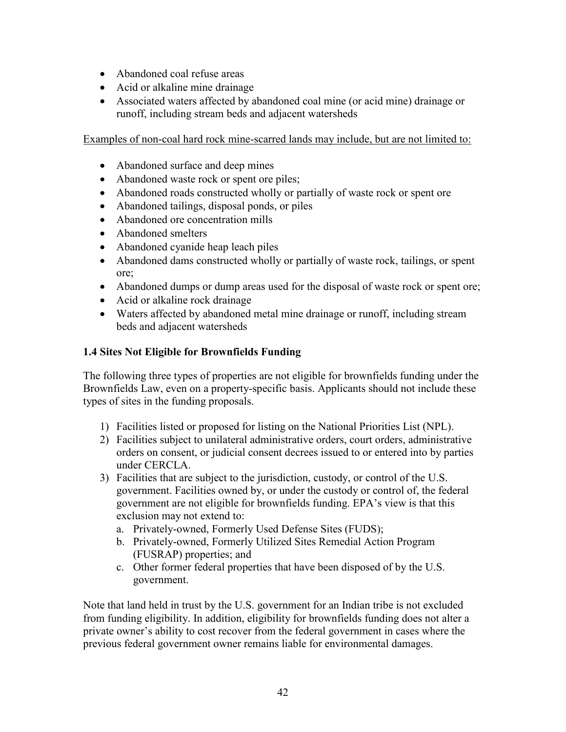- Abandoned coal refuse areas
- Acid or alkaline mine drainage
- Associated waters affected by abandoned coal mine (or acid mine) drainage or runoff, including stream beds and adjacent watersheds

Examples of non-coal hard rock mine-scarred lands may include, but are not limited to:

- Abandoned surface and deep mines
- Abandoned waste rock or spent ore piles;
- Abandoned roads constructed wholly or partially of waste rock or spent ore
- Abandoned tailings, disposal ponds, or piles
- Abandoned ore concentration mills
- Abandoned smelters
- Abandoned cyanide heap leach piles
- Abandoned dams constructed wholly or partially of waste rock, tailings, or spent ore;
- Abandoned dumps or dump areas used for the disposal of waste rock or spent ore;
- Acid or alkaline rock drainage
- Waters affected by abandoned metal mine drainage or runoff, including stream beds and adjacent watersheds

## **1.4 Sites Not Eligible for Brownfields Funding**

The following three types of properties are not eligible for brownfields funding under the Brownfields Law, even on a property-specific basis. Applicants should not include these types of sites in the funding proposals.

- 1) Facilities listed or proposed for listing on the National Priorities List (NPL).
- under CERCLA. 2) Facilities subject to unilateral administrative orders, court orders, administrative orders on consent, or judicial consent decrees issued to or entered into by parties
- under CERCLA. 3) Facilities that are subject to the jurisdiction, custody, or control of the U.S. government. Facilities owned by, or under the custody or control of, the federal government are not eligible for brownfields funding. EPA's view is that this exclusion may not extend to:
	- a. Privately-owned, Formerly Used Defense Sites (FUDS);
	- b. Privately-owned, Formerly Utilized Sites Remedial Action Program (FUSRAP) properties; and
	- c. Other former federal properties that have been disposed of by the U.S. government.

Note that land held in trust by the U.S. government for an Indian tribe is not excluded from funding eligibility. In addition, eligibility for brownfields funding does not alter a private owner's ability to cost recover from the federal government in cases where the previous federal government owner remains liable for environmental damages.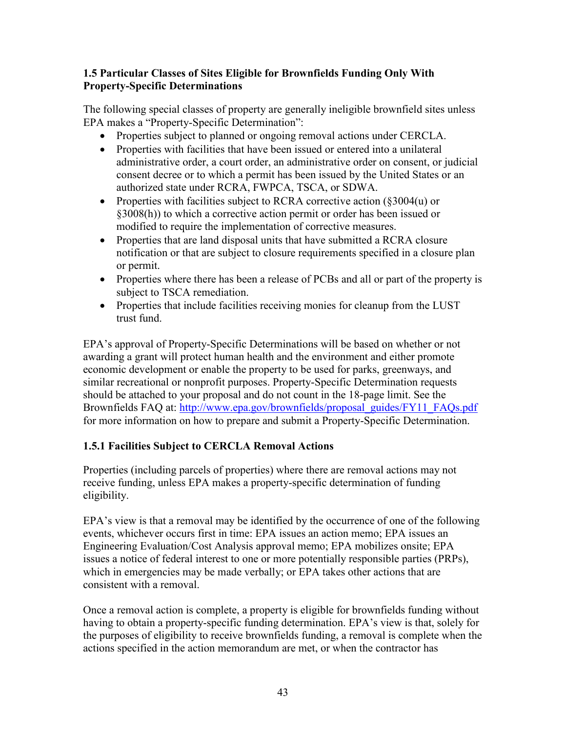## **1.5 Particular Classes of Sites Eligible for Brownfields Funding Only With Property-Specific Determinations**

 The following special classes of property are generally ineligible brownfield sites unless EPA makes a "Property-Specific Determination":

- Properties subject to planned or ongoing removal actions under CERCLA.
- Properties with facilities that have been issued or entered into a unilateral administrative order, a court order, an administrative order on consent, or judicial consent decree or to which a permit has been issued by the United States or an authorized state under RCRA, FWPCA, TSCA, or SDWA.
- Properties with facilities subject to RCRA corrective action  $(\S 3004(u))$  or §3008(h)) to which a corrective action permit or order has been issued or modified to require the implementation of corrective measures.
- Properties that are land disposal units that have submitted a RCRA closure notification or that are subject to closure requirements specified in a closure plan or permit.
- Properties where there has been a release of PCBs and all or part of the property is subject to TSCA remediation.
- Properties that include facilities receiving monies for cleanup from the LUST trust fund.

Brownfields FAQ at: http://www.epa.gov/brownfields/proposal\_guides/FY11\_FAQs.pdf EPA's approval of Property-Specific Determinations will be based on whether or not awarding a grant will protect human health and the environment and either promote economic development or enable the property to be used for parks, greenways, and similar recreational or nonprofit purposes. Property-Specific Determination requests should be attached to your proposal and do not count in the 18-page limit. See the for more information on how to prepare and submit a Property-Specific Determination.

## **1.5.1 Facilities Subject to CERCLA Removal Actions**

Properties (including parcels of properties) where there are removal actions may not receive funding, unless EPA makes a property-specific determination of funding eligibility.

 Engineering Evaluation/Cost Analysis approval memo; EPA mobilizes onsite; EPA which in emergencies may be made verbally; or EPA takes other actions that are EPA's view is that a removal may be identified by the occurrence of one of the following events, whichever occurs first in time: EPA issues an action memo; EPA issues an issues a notice of federal interest to one or more potentially responsible parties (PRPs), consistent with a removal.

 having to obtain a property-specific funding determination. EPA's view is that, solely for Once a removal action is complete, a property is eligible for brownfields funding without the purposes of eligibility to receive brownfields funding, a removal is complete when the actions specified in the action memorandum are met, or when the contractor has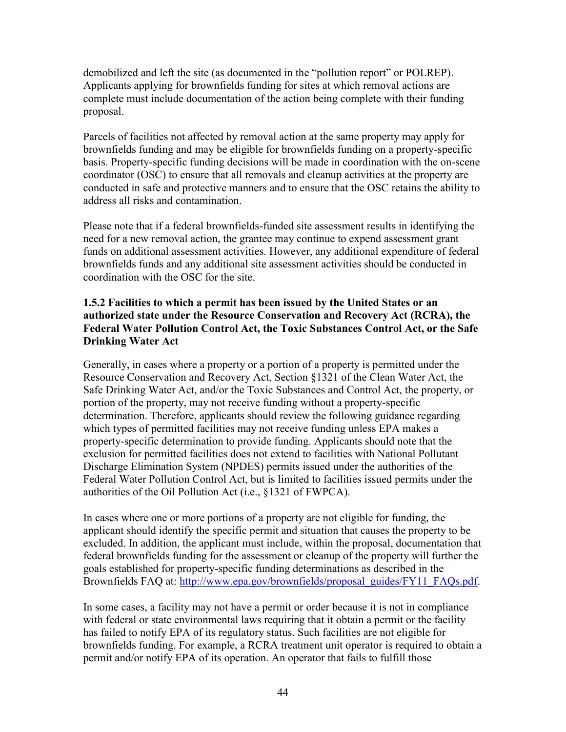Applicants applying for brownfields funding for sites at which removal actions are demobilized and left the site (as documented in the "pollution report" or POLREP). complete must include documentation of the action being complete with their funding proposal.

Parcels of facilities not affected by removal action at the same property may apply for brownfields funding and may be eligible for brownfields funding on a property-specific basis. Property-specific funding decisions will be made in coordination with the on-scene coordinator (OSC) to ensure that all removals and cleanup activities at the property are conducted in safe and protective manners and to ensure that the OSC retains the ability to address all risks and contamination.

 need for a new removal action, the grantee may continue to expend assessment grant Please note that if a federal brownfields-funded site assessment results in identifying the funds on additional assessment activities. However, any additional expenditure of federal brownfields funds and any additional site assessment activities should be conducted in coordination with the OSC for the site.

## **1.5.2 Facilities to which a permit has been issued by the United States or an authorized state under the Resource Conservation and Recovery Act (RCRA), the Federal Water Pollution Control Act, the Toxic Substances Control Act, or the Safe Drinking Water Act**

 authorities of the Oil Pollution Act (i.e., §1321 of FWPCA). Generally, in cases where a property or a portion of a property is permitted under the Resource Conservation and Recovery Act, Section §1321 of the Clean Water Act, the Safe Drinking Water Act, and/or the Toxic Substances and Control Act, the property, or portion of the property, may not receive funding without a property-specific determination. Therefore, applicants should review the following guidance regarding which types of permitted facilities may not receive funding unless EPA makes a property-specific determination to provide funding. Applicants should note that the exclusion for permitted facilities does not extend to facilities with National Pollutant Discharge Elimination System (NPDES) permits issued under the authorities of the Federal Water Pollution Control Act, but is limited to facilities issued permits under the

Brownfields FAQ at: [http://www.epa.gov/brownfields/proposal\\_guides/FY11\\_FAQs.pdf.](http://www.epa.gov/brownfields/proposal_guides/FY11_FAQs.pdf) In cases where one or more portions of a property are not eligible for funding, the applicant should identify the specific permit and situation that causes the property to be excluded. In addition, the applicant must include, within the proposal, documentation that federal brownfields funding for the assessment or cleanup of the property will further the goals established for property-specific funding determinations as described in the

 has failed to notify EPA of its regulatory status. Such facilities are not eligible for In some cases, a facility may not have a permit or order because it is not in compliance with federal or state environmental laws requiring that it obtain a permit or the facility brownfields funding. For example, a RCRA treatment unit operator is required to obtain a permit and/or notify EPA of its operation. An operator that fails to fulfill those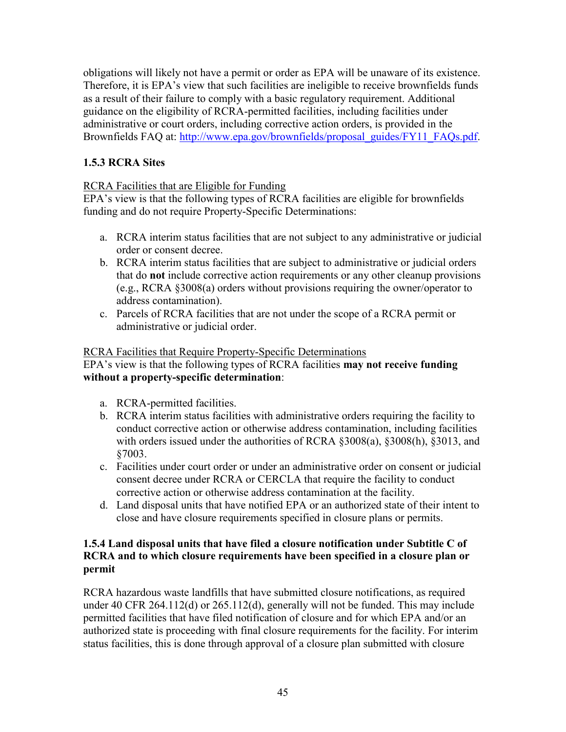Brownfields FAQ at: [http://www.epa.gov/brownfields/proposal\\_guides/FY11\\_FAQs.pdf.](http://www.epa.gov/brownfields/proposal_guides/FY11_FAQs.pdf) obligations will likely not have a permit or order as EPA will be unaware of its existence. Therefore, it is EPA's view that such facilities are ineligible to receive brownfields funds as a result of their failure to comply with a basic regulatory requirement. Additional guidance on the eligibility of RCRA-permitted facilities, including facilities under administrative or court orders, including corrective action orders, is provided in the

## **1.5.3 RCRA Sites**

## RCRA Facilities that are Eligible for Funding

EPA's view is that the following types of RCRA facilities are eligible for brownfields funding and do not require Property-Specific Determinations:

- a. RCRA interim status facilities that are not subject to any administrative or judicial order or consent decree.
- b. RCRA interim status facilities that are subject to administrative or judicial orders that do **not** include corrective action requirements or any other cleanup provisions (e.g., RCRA §3008(a) orders without provisions requiring the owner/operator to address contamination).
- c. Parcels of RCRA facilities that are not under the scope of a RCRA permit or administrative or judicial order.

## RCRA Facilities that Require Property-Specific Determinations

## EPA's view is that the following types of RCRA facilities **may not receive funding without a property-specific determination**:

- a. RCRA-permitted facilities.
- b. RCRA interim status facilities with administrative orders requiring the facility to conduct corrective action or otherwise address contamination, including facilities with orders issued under the authorities of RCRA §3008(a), §3008(h), §3013, and §7003.
- c. Facilities under court order or under an administrative order on consent or judicial consent decree under RCRA or CERCLA that require the facility to conduct corrective action or otherwise address contamination at the facility.
- d. Land disposal units that have notified EPA or an authorized state of their intent to close and have closure requirements specified in closure plans or permits.

## **1.5.4 Land disposal units that have filed a closure notification under Subtitle C of RCRA and to which closure requirements have been specified in a closure plan or permit**

RCRA hazardous waste landfills that have submitted closure notifications, as required under 40 CFR 264.112(d) or 265.112(d), generally will not be funded. This may include permitted facilities that have filed notification of closure and for which EPA and/or an authorized state is proceeding with final closure requirements for the facility. For interim status facilities, this is done through approval of a closure plan submitted with closure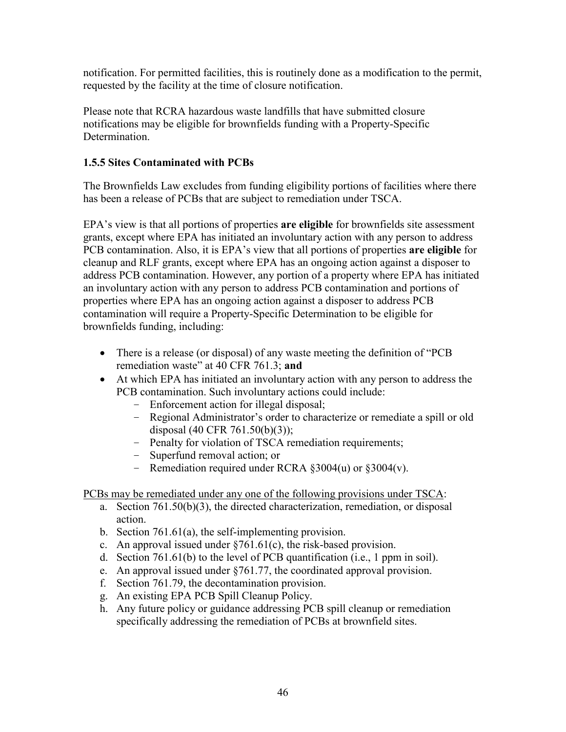notification. For permitted facilities, this is routinely done as a modification to the permit, requested by the facility at the time of closure notification.

Please note that RCRA hazardous waste landfills that have submitted closure notifications may be eligible for brownfields funding with a Property-Specific **Determination** 

## **1.5.5 Sites Contaminated with PCBs**

The Brownfields Law excludes from funding eligibility portions of facilities where there has been a release of PCBs that are subject to remediation under TSCA.

 contamination will require a Property-Specific Determination to be eligible for EPA's view is that all portions of properties **are eligible** for brownfields site assessment grants, except where EPA has initiated an involuntary action with any person to address PCB contamination. Also, it is EPA's view that all portions of properties **are eligible** for cleanup and RLF grants, except where EPA has an ongoing action against a disposer to address PCB contamination. However, any portion of a property where EPA has initiated an involuntary action with any person to address PCB contamination and portions of properties where EPA has an ongoing action against a disposer to address PCB brownfields funding, including:

- There is a release (or disposal) of any waste meeting the definition of "PCB" remediation waste" at 40 CFR 761.3; **and**
- At which EPA has initiated an involuntary action with any person to address the PCB contamination. Such involuntary actions could include:
	- Enforcement action for illegal disposal;
	- Regional Administrator's order to characterize or remediate a spill or old disposal (40 CFR 761.50(b)(3));
	- Penalty for violation of TSCA remediation requirements;
	- Superfund removal action; or
	- Remediation required under RCRA §3004(u) or §3004(v).

PCBs may be remediated under any one of the following provisions under TSCA:

- a. Section 761.50(b)(3), the directed characterization, remediation, or disposal action.
- b. Section 761.61(a), the self-implementing provision.
- c. An approval issued under  $\S761.61(c)$ , the risk-based provision.
- d. Section 761.61(b) to the level of PCB quantification (i.e., 1 ppm in soil).
- e. An approval issued under §761.77, the coordinated approval provision.
- f. Section 761.79, the decontamination provision.
- g. An existing EPA PCB Spill Cleanup Policy.
- h. Any future policy or guidance addressing PCB spill cleanup or remediation specifically addressing the remediation of PCBs at brownfield sites.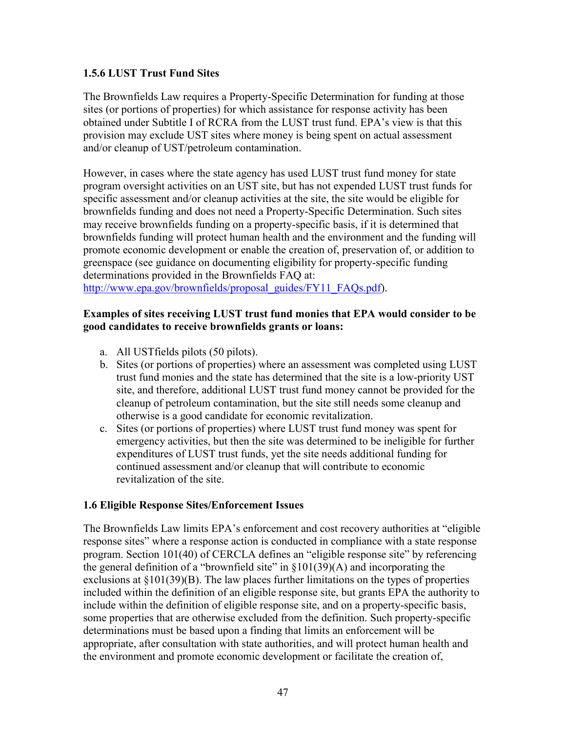#### **1.5.6 LUST Trust Fund Sites**

The Brownfields Law requires a Property-Specific Determination for funding at those sites (or portions of properties) for which assistance for response activity has been obtained under Subtitle I of RCRA from the LUST trust fund. EPA's view is that this provision may exclude UST sites where money is being spent on actual assessment and/or cleanup of UST/petroleum contamination.

 brownfields funding will protect human health and the environment and the funding will determinations provided in the Brownfields FAQ at: However, in cases where the state agency has used LUST trust fund money for state program oversight activities on an UST site, but has not expended LUST trust funds for specific assessment and/or cleanup activities at the site, the site would be eligible for brownfields funding and does not need a Property-Specific Determination. Such sites may receive brownfields funding on a property-specific basis, if it is determined that promote economic development or enable the creation of, preservation of, or addition to greenspace (see guidance on documenting eligibility for property-specific funding

[http://www.epa.gov/brownfields/proposal\\_guides/FY11\\_FAQs.pdf\)](http://www.epa.gov/brownfields/proposal_guides/FY11_FAQs.pdf).

#### **good candidates to receive brownfields grants or loans: Examples of sites receiving LUST trust fund monies that EPA would consider to be**

- a. All UST fields pilots (50 pilots).
- b. Sites (or portions of properties) where an assessment was completed using LUST trust fund monies and the state has determined that the site is a low-priority UST site, and therefore, additional LUST trust fund money cannot be provided for the cleanup of petroleum contamination, but the site still needs some cleanup and otherwise is a good candidate for economic revitalization.
- c. Sites (or portions of properties) where LUST trust fund money was spent for emergency activities, but then the site was determined to be ineligible for further expenditures of LUST trust funds, yet the site needs additional funding for continued assessment and/or cleanup that will contribute to economic revitalization of the site.

## **1.6 Eligible Response Sites/Enforcement Issues**

 program. Section 101(40) of CERCLA defines an "eligible response site" by referencing The Brownfields Law limits EPA's enforcement and cost recovery authorities at "eligible response sites" where a response action is conducted in compliance with a state response the general definition of a "brownfield site" in  $\S 101(39)(A)$  and incorporating the exclusions at §101(39)(B). The law places further limitations on the types of properties included within the definition of an eligible response site, but grants EPA the authority to include within the definition of eligible response site, and on a property-specific basis, some properties that are otherwise excluded from the definition. Such property-specific determinations must be based upon a finding that limits an enforcement will be appropriate, after consultation with state authorities, and will protect human health and the environment and promote economic development or facilitate the creation of,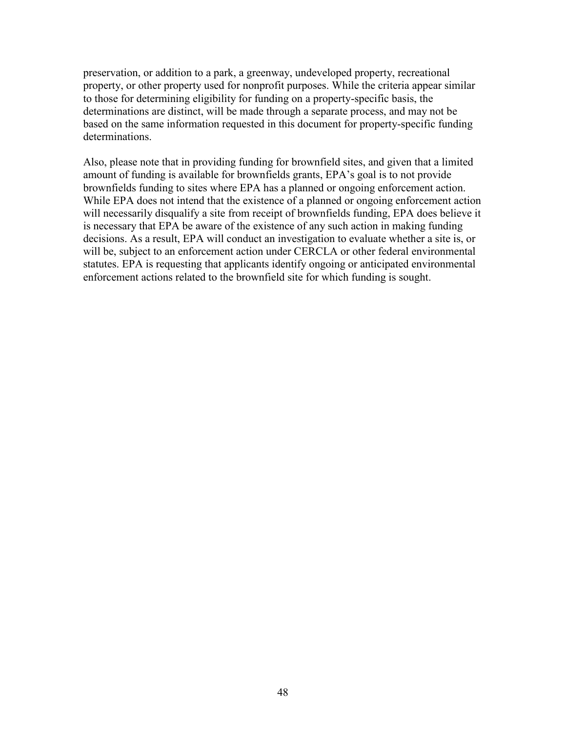preservation, or addition to a park, a greenway, undeveloped property, recreational property, or other property used for nonprofit purposes. While the criteria appear similar to those for determining eligibility for funding on a property-specific basis, the determinations are distinct, will be made through a separate process, and may not be based on the same information requested in this document for property-specific funding determinations.

 will necessarily disqualify a site from receipt of brownfields funding, EPA does believe it is necessary that EPA be aware of the existence of any such action in making funding Also, please note that in providing funding for brownfield sites, and given that a limited amount of funding is available for brownfields grants, EPA's goal is to not provide brownfields funding to sites where EPA has a planned or ongoing enforcement action. While EPA does not intend that the existence of a planned or ongoing enforcement action decisions. As a result, EPA will conduct an investigation to evaluate whether a site is, or will be, subject to an enforcement action under CERCLA or other federal environmental statutes. EPA is requesting that applicants identify ongoing or anticipated environmental enforcement actions related to the brownfield site for which funding is sought.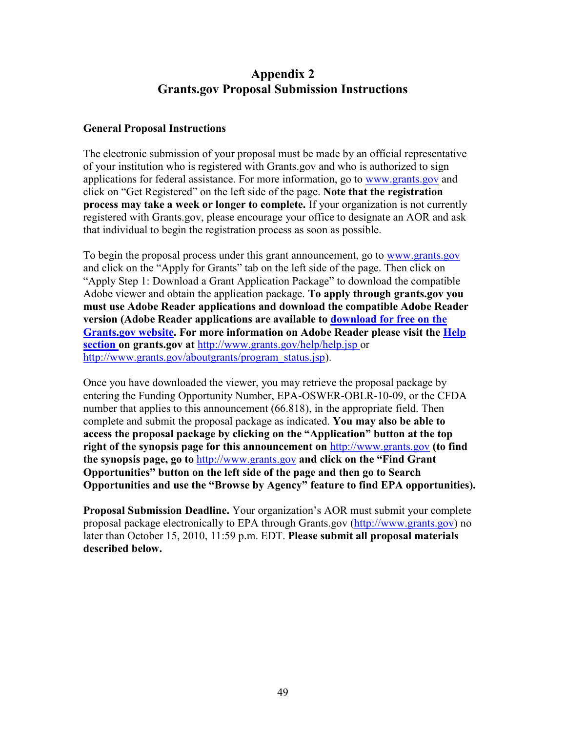# **Appendix 2 Grants.gov Proposal Submission Instructions**

## <span id="page-48-0"></span>**General Proposal Instructions**

The electronic submission of your proposal must be made by an official representative of your institution who is registered with Grants.gov and who is authorized to sign applications for federal assistance. For more information, go to [www.grants.gov](http://www.grants.gov/) and click on "Get Registered" on the left side of the page. **Note that the registration process may take a week or longer to complete.** If your organization is not currently registered with Grants.gov, please encourage your office to designate an AOR and ask that individual to begin the registration process as soon as possible.

To begin the proposal process under this grant announcement, go to www.grants.gov  **version (Adobe Reader applications are available to download for free on the**  and click on the "Apply for Grants" tab on the left side of the page. Then click on "Apply Step 1: Download a Grant Application Package" to download the compatible Adobe viewer and obtain the application package. **To apply through grants.gov you must use Adobe Reader applications and download the compatible Adobe Reader Grants.gov website. For more information on Adobe Reader please visit the Help section on grants.gov at** <http://www.grants.gov/help/help.jsp>or [http://www.grants.gov/aboutgrants/program\\_status.jsp\)](http://www.grants.gov/aboutgrants/program_status.jsp).

 **right of the synopsis page for this announcement on** [http://www.grants.gov](http://www.grants.gov/) **(to find**  Once you have downloaded the viewer, you may retrieve the proposal package by entering the Funding Opportunity Number, EPA-OSWER-OBLR-10-09, or the CFDA number that applies to this announcement (66.818), in the appropriate field. Then complete and submit the proposal package as indicated. **You may also be able to access the proposal package by clicking on the "Application" button at the top the synopsis page, go to** [http://www.grants.gov](http://www.grants.gov/) **and click on the "Find Grant Opportunities" button on the left side of the page and then go to Search Opportunities and use the "Browse by Agency" feature to find EPA opportunities).** 

**Proposal Submission Deadline.** Your organization's AOR must submit your complete proposal package electronically to EPA through Grants.gov [\(http://www.grants.gov\)](http://www.grants.gov/) no later than October 15, 2010, 11:59 p.m. EDT. **Please submit all proposal materials described below.**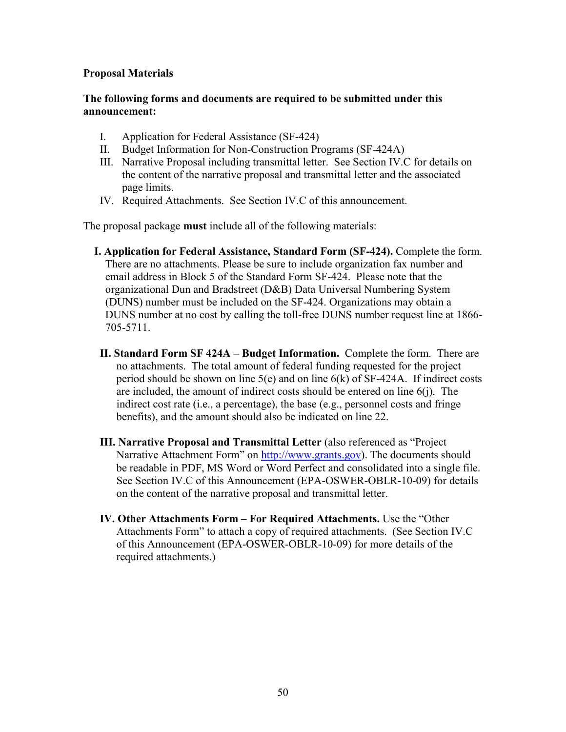#### **Proposal Materials**

#### **The following forms and documents are required to be submitted under this announcement:**

- I. Application for Federal Assistance (SF-424)
- II. Budget Information for Non-Construction Programs (SF-424A)
- III. Narrative Proposal including transmittal letter. See Section IV.C for details on the content of the narrative proposal and transmittal letter and the associated page limits.
- IV. Required Attachments. See Section IV.C of this announcement.

The proposal package **must** include all of the following materials:

- email address in Block 5 of the Standard Form SF-424. Please note that the **I. Application for Federal Assistance, Standard Form (SF-424).** Complete the form. There are no attachments. Please be sure to include organization fax number and organizational Dun and Bradstreet (D&B) Data Universal Numbering System (DUNS) number must be included on the SF-424. Organizations may obtain a DUNS number at no cost by calling the toll-free DUNS number request line at 1866- 705-5711.
- **II. Standard Form SF 424A Budget Information.** Complete the form. There are no attachments. The total amount of federal funding requested for the project period should be shown on line 5(e) and on line 6(k) of SF-424A. If indirect costs are included, the amount of indirect costs should be entered on line 6(j). The indirect cost rate (i.e., a percentage), the base (e.g., personnel costs and fringe benefits), and the amount should also be indicated on line 22.
- **III. Narrative Proposal and Transmittal Letter** (also referenced as "Project Narrative Attachment Form" on [http://www.grants.gov\)](http://www.grants.gov/). The documents should be readable in PDF, MS Word or Word Perfect and consolidated into a single file. See Section IV.C of this Announcement (EPA-OSWER-OBLR-10-09) for details on the content of the narrative proposal and transmittal letter.
- **IV. Other Attachments Form For Required Attachments.** Use the "Other Attachments Form" to attach a copy of required attachments. (See Section IV.C of this Announcement (EPA-OSWER-OBLR-10-09) for more details of the required attachments.)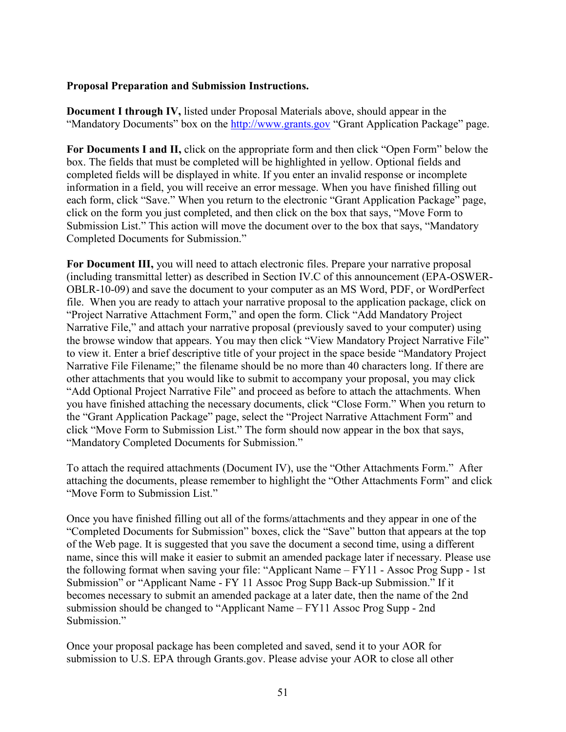#### **Proposal Preparation and Submission Instructions.**

**Document I through IV,** listed under Proposal Materials above, should appear in the "Mandatory Documents" box on the [http://www.grants.gov](http://www.grants.gov/) "Grant Application Package" page.

For Documents I and II, click on the appropriate form and then click "Open Form" below the box. The fields that must be completed will be highlighted in yellow. Optional fields and completed fields will be displayed in white. If you enter an invalid response or incomplete information in a field, you will receive an error message. When you have finished filling out each form, click "Save." When you return to the electronic "Grant Application Package" page, click on the form you just completed, and then click on the box that says, "Move Form to Submission List." This action will move the document over to the box that says, "Mandatory Completed Documents for Submission."

 file. When you are ready to attach your narrative proposal to the application package, click on the browse window that appears. You may then click "View Mandatory Project Narrative File" "Add Optional Project Narrative File" and proceed as before to attach the attachments. When **For Document III,** you will need to attach electronic files. Prepare your narrative proposal (including transmittal letter) as described in Section IV.C of this announcement (EPA-OSWER-OBLR-10-09) and save the document to your computer as an MS Word, PDF, or WordPerfect "Project Narrative Attachment Form," and open the form. Click "Add Mandatory Project Narrative File," and attach your narrative proposal (previously saved to your computer) using to view it. Enter a brief descriptive title of your project in the space beside "Mandatory Project Narrative File Filename;" the filename should be no more than 40 characters long. If there are other attachments that you would like to submit to accompany your proposal, you may click you have finished attaching the necessary documents, click "Close Form." When you return to the "Grant Application Package" page, select the "Project Narrative Attachment Form" and click "Move Form to Submission List." The form should now appear in the box that says, "Mandatory Completed Documents for Submission."

To attach the required attachments (Document IV), use the "Other Attachments Form." After attaching the documents, please remember to highlight the "Other Attachments Form" and click "Move Form to Submission List."

 the following format when saving your file: "Applicant Name – FY11 - Assoc Prog Supp - 1st Once you have finished filling out all of the forms/attachments and they appear in one of the "Completed Documents for Submission" boxes, click the "Save" button that appears at the top of the Web page. It is suggested that you save the document a second time, using a different name, since this will make it easier to submit an amended package later if necessary. Please use Submission" or "Applicant Name - FY 11 Assoc Prog Supp Back-up Submission." If it becomes necessary to submit an amended package at a later date, then the name of the 2nd submission should be changed to "Applicant Name – FY11 Assoc Prog Supp - 2nd Submission."

Once your proposal package has been completed and saved, send it to your AOR for submission to U.S. EPA through Grants.gov. Please advise your AOR to close all other